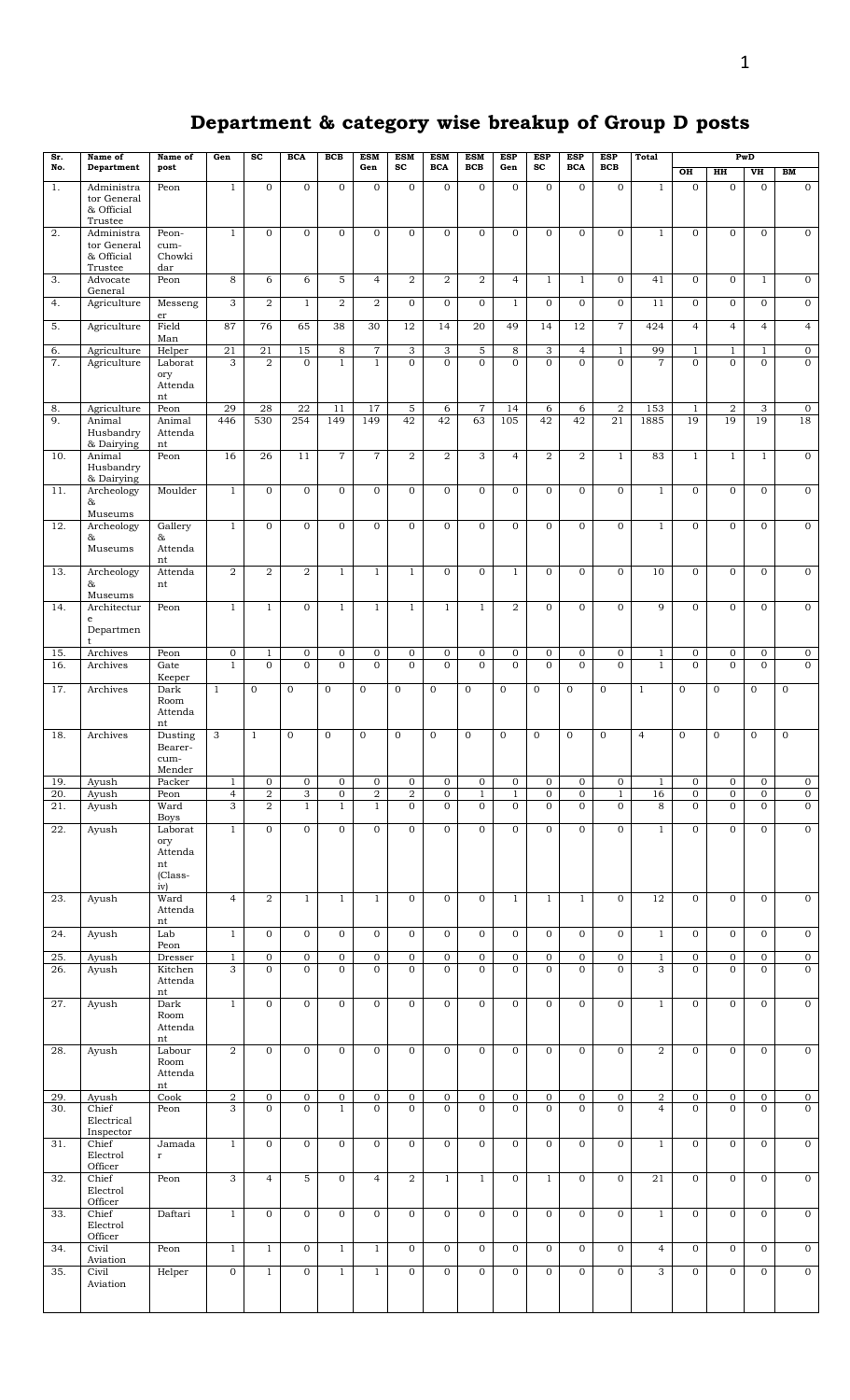## **Department & category wise breakup of Group D posts**

| Sr.        | Name of                                         | Name of                                                     | Gen                              | $\overline{sc}$          | <b>BCA</b>        | <b>BCB</b>                  | <b>ESM</b>                     | <b>ESM</b>                       | <b>ESM</b>                       | <b>ESM</b><br><b>BCB</b>       | <b>ESP</b>                     | <b>ESP</b>                 | <b>ESP</b>                       | ESP                         | <b>Total</b>   |                              |                                | PwD                            |                                |
|------------|-------------------------------------------------|-------------------------------------------------------------|----------------------------------|--------------------------|-------------------|-----------------------------|--------------------------------|----------------------------------|----------------------------------|--------------------------------|--------------------------------|----------------------------|----------------------------------|-----------------------------|----------------|------------------------------|--------------------------------|--------------------------------|--------------------------------|
| No.        | Department                                      | post                                                        |                                  |                          |                   |                             | Gen                            | $_{sc}$                          | <b>BCA</b>                       |                                | Gen                            | $\operatorname{sc}$        | <b>BCA</b>                       | <b>BCB</b>                  |                | $\overline{OH}$              | H H                            | VH                             | BM                             |
| 1.         | Administra<br>tor General<br>& Official         | Peon                                                        | $\mathbf{1}$                     | $\mathbf{0}$             | $\mathbf{0}$      | $\Omega$                    | $\mathbf{0}$                   | $\mathbf{0}$                     | $\overline{0}$                   | $\mathbf{0}$                   | $\mathbf{0}$                   | $\mathbf{0}$               | $\mathbf{0}$                     | $\mathbf{0}$                | $\mathbf{1}$   | $\mathbf{0}$                 | $\mathbf{0}$                   | $\mathbf{O}$                   | $\overline{0}$                 |
| 2.         | Trustee<br>Administra                           | Peon-                                                       | $\mathbf{1}$                     | $\mathbf{O}$             | $\mathbf 0$       | $\mathbf{O}$                | $\mathbf{O}$                   | $\mathbf{0}$                     | $\mathbf{O}$                     | $\mathbf{0}$                   | $\mathbf{O}$                   | $\mathbf{O}$               | $\mathbf{0}$                     | $\mathbf{0}$                | $\mathbf{1}$   | $\mathbf{0}$                 | $\mathbf{0}$                   | $\mathbf{0}$                   | $\mathbf 0$                    |
|            | tor General<br>& Official<br>Trustee            | cum-<br>Chowki<br>dar                                       |                                  |                          |                   |                             |                                |                                  |                                  |                                |                                |                            |                                  |                             |                |                              |                                |                                |                                |
| 3.         | Advocate<br>General                             | Peon                                                        | 8                                | 6                        | 6                 | 5                           | $\overline{4}$                 | 2                                | $\overline{a}$                   | $\overline{2}$                 | $\overline{4}$                 | $\mathbf{1}$               | $\mathbf{1}$                     | $\mathbf{0}$                | 41             | $\mathbf{O}$                 | $\mathbf{0}$                   | $\mathbf{1}$                   | $\mathbf{0}$                   |
| 4.         | Agriculture                                     | Messeng                                                     | 3                                | $\overline{2}$           | $\mathbf{1}$      | $\overline{2}$              | $\overline{2}$                 | $\Omega$                         | $\overline{0}$                   | $\mathbf{0}$                   | $\mathbf{1}$                   | $\overline{0}$             | $\overline{0}$                   | $\overline{0}$              | 11             | $\mathbf{O}$                 | $\mathbf{0}$                   | $\overline{0}$                 | $\overline{0}$                 |
| 5.         | Agriculture                                     | er<br>Field<br>Man                                          | 87                               | 76                       | 65                | 38                          | 30                             | 12                               | 14                               | 20                             | 49                             | 14                         | 12                               | $\overline{7}$              | 424            | $\overline{4}$               | $\overline{4}$                 | $\overline{4}$                 | $\overline{4}$                 |
| 6.         | Agriculture                                     | Helper                                                      | 21                               | 21                       | 15                | 8                           | $\overline{7}$                 | 3                                | 3                                | 5                              | 8                              | 3                          | $\overline{4}$                   | $\mathbf{1}$                | 99             | $\mathbf{1}$                 | $\mathbf{1}$                   | $\mathbf{1}$                   | $\overline{0}$                 |
| 7.         | Agriculture                                     | Laborat<br>ory<br>Attenda<br>nt                             | 3                                | $\overline{2}$           | $\Omega$          | $\mathbf{1}$                | $\mathbf{1}$                   | $\Omega$                         | $\mathbf{O}$                     | $\Omega$                       | $\Omega$                       | $\Omega$                   | $\Omega$                         | $\Omega$                    | $\overline{7}$ | $\Omega$                     | $\Omega$                       | $\overline{0}$                 | $\overline{0}$                 |
| 8.<br>9.   | Agriculture<br>Animal<br>Husbandry              | Peon<br>Animal<br>Attenda                                   | 29<br>446                        | 28<br>530                | 22<br>254         | 11<br>149                   | 17<br>149                      | 5<br>42                          | 6<br>42                          | $\scriptstyle{7}$<br>63        | 14<br>105                      | 6<br>42                    | 6<br>42                          | $\overline{2}$<br>21        | 153<br>1885    | $\mathbf{1}$<br>19           | $\boldsymbol{2}$<br>19         | 3<br>19                        | $\mathbf{0}$<br>18             |
| 10.        | & Dairying<br>Animal<br>Husbandry<br>& Dairying | nt<br>Peon                                                  | 16                               | 26                       | 11                | $\overline{7}$              | $\overline{7}$                 | $\overline{2}$                   | $\overline{a}$                   | $\overline{3}$                 | $\overline{4}$                 | $\overline{2}$             | $\overline{2}$                   | $\mathbf{1}$                | 83             | $\mathbf{1}$                 | $\mathbf{1}$                   | $\mathbf{1}$                   | $\overline{0}$                 |
| 11.        | Archeology<br>&                                 | Moulder                                                     | $1\,$                            | $\mathbf{0}$             | $\mathbf{0}$      | $\mathbf{O}$                | $\overline{0}$                 | $\Omega$                         | $\mathbf{O}$                     | $\mathbf{O}$                   | $\mathbf{0}$                   | $\overline{0}$             | $\overline{0}$                   | $\Omega$                    | $\mathbf{1}$   | $\overline{0}$               | $\mathbf{0}$                   | $\mathbf{O}$                   | $\overline{0}$                 |
| 12.        | Museums<br>Archeology                           | Gallery                                                     | $\overline{1}$                   | $\Omega$                 | $\mathbf{0}$      | $\mathbf{O}$                | $\overline{0}$                 | $\Omega$                         | $\Omega$                         | $\Omega$                       | $\Omega$                       | $\Omega$                   | $\Omega$                         | $\mathbf{O}$                | $\mathbf{1}$   | $\Omega$                     | $\Omega$                       | $\overline{0}$                 | $\overline{0}$                 |
|            | &<br>Museums                                    | &<br>Attenda                                                |                                  |                          |                   |                             |                                |                                  |                                  |                                |                                |                            |                                  |                             |                |                              |                                |                                |                                |
| 13.        | Archeology<br>&                                 | nt<br>Attenda<br>nt                                         | $\overline{2}$                   | $\overline{2}$           | $\overline{2}$    | $\mathbf{1}$                | $\overline{1}$                 | $\mathbf{1}$                     | $\mathbf{O}$                     | $\overline{0}$                 | $\mathbf{1}$                   | $\mathbf{0}$               | $\overline{0}$                   | $\overline{0}$              | 10             | $\mathbf{O}$                 | $\overline{0}$                 | $\overline{0}$                 | $\overline{0}$                 |
| 14.        | Museums<br>Architectur<br>$\mathbf{e}$          | Peon                                                        | $\mathbf{1}$                     | $\mathbf{1}$             | $\mathbf{0}$      | $\mathbf{1}$                | $\mathbf{1}$                   | $\mathbf{1}$                     | $\mathbf{1}$                     | $\mathbf{1}$                   | $\overline{2}$                 | $\Omega$                   | $\overline{0}$                   | $\Omega$                    | $\mathbf{Q}$   | $\Omega$                     | $\Omega$                       | $\mathbf{0}$                   | $\overline{0}$                 |
|            | Departmen<br>t                                  | Peon                                                        | $\overline{0}$                   |                          | $\mathbf 0$       | $\mathbf{0}$                | $\overline{0}$                 | $\mathbf 0$                      | $\overline{0}$                   | $\mathbf{0}$                   | $\mathbf 0$                    | $\overline{0}$             | $\overline{0}$                   | $\mathbf 0$                 | $\mathbf{1}$   | $\mathbf 0$                  | $\mathbf{0}$                   | $\mathbf 0$                    | $\overline{0}$                 |
| 15.<br>16. | Archives<br>Archives                            | Gate                                                        | $\mathbf{1}$                     | $\mathbf{1}$<br>$\Omega$ | $\mathbf{O}$      | $\Omega$                    | $\mathbf{O}$                   | $\Omega$                         | $\mathbf{O}$                     | $\Omega$                       | $\mathbf{0}$                   | $\Omega$                   | $\overline{0}$                   | $\mathbf{0}$                | $\mathbf{1}$   | $\overline{0}$               | $\Omega$                       | $\mathbf{O}$                   | $\overline{0}$                 |
| 17.        | Archives                                        | Keeper<br>Dark                                              | $\mathbf{1}$                     | $\mathbf{0}$             | $\mathbf{0}$      | $\mathbf{0}$                | $\mathbf{0}$                   | $\mathbf{O}$                     | $\mathbf{0}$                     | $\mathbf{0}$                   | $\mathbf{0}$                   | $\mathbf{0}$               | $\mathbf{0}$                     | $\mathbf{0}$                | $\mathbf{1}$   | $\mathbf{O}$                 | $\mathbf{0}$                   | $\mathbf{0}$                   | $\overline{0}$                 |
|            |                                                 | Room<br>Attenda<br>nt                                       |                                  |                          |                   |                             |                                |                                  |                                  |                                |                                |                            |                                  |                             |                |                              |                                |                                |                                |
| 18.        | Archives                                        | Dusting<br>Bearer-<br>cum-<br>Mender                        | 3                                | $\mathbf{1}$             | $\mathbf{O}$      | $\mathbf{O}$                | $\mathbf{O}$                   | $\mathbf{O}$                     | $\mathbf{0}$                     | $\mathbf{0}$                   | $\mathbf{0}$                   | $\Omega$                   | $\overline{0}$                   | $\mathbf{0}$                | $\overline{4}$ | $\mathbf{O}$                 | $\mathbf{O}$                   | $\mathbf{0}$                   | $\mathbf{O}$                   |
| 19.        | Ayush                                           | Packer                                                      | $\mathbf{1}$                     | $\mathbf 0$              | $\mathbf 0$       | $\mathbf 0$                 | $\boldsymbol{0}$               | $\boldsymbol{0}$                 | $\mathbf 0$                      | $\mathbf 0$                    | 0                              | $\overline{0}$             | $\overline{0}$                   | $\boldsymbol{0}$            | $\mathbf{1}$   | $\mathbf{0}$                 | $\mathbf 0$                    | $\mathbf 0$                    | $\mathbf{0}$                   |
| 20.<br>21. | Ayush<br>Ayush                                  | Peon<br>Ward                                                | $\overline{4}$<br>$\overline{3}$ | $\overline{a}$<br>2      | 3<br>$\mathbf{1}$ | $\mathbf 0$<br>$\mathbf{1}$ | $\overline{2}$<br>$\mathbf{1}$ | $\overline{a}$<br>$\overline{0}$ | $\overline{0}$<br>$\overline{0}$ | $\mathbf{1}$<br>$\overline{0}$ | $\mathbf{1}$<br>$\overline{0}$ | $\mathbf 0$<br>$\mathbf 0$ | $\overline{0}$<br>$\overline{0}$ | $\mathbf{1}$<br>$\mathbf 0$ | 16<br>8        | $\mathbf{0}$<br>$\mathbf{0}$ | $\overline{0}$<br>$\mathbf{0}$ | $\overline{0}$<br>$\mathbf{0}$ | $\overline{0}$<br>$\mathbf{0}$ |
|            |                                                 | <b>Boys</b>                                                 |                                  |                          |                   |                             |                                |                                  |                                  |                                |                                |                            |                                  |                             |                |                              |                                |                                |                                |
| 22.        | Ayush                                           | Laborat<br>ory<br>Attenda<br>nt<br>(Class-<br>iv)           | $\mathbf{1}$                     | $\mathbf{0}$             | $\mathbf{0}$      | $\mathbf{O}$                | $\mathbf{O}$                   | $\mathbf{0}$                     | $\mathbf{O}$                     | $\mathbf{0}$                   | $\mathbf{0}$                   | $\mathbf{0}$               | $\overline{0}$                   | $\mathbf{O}$                | $\mathbf{1}$   | $\mathbf{O}$                 | $\mathbf{0}$                   | $\mathbf{0}$                   | $\overline{0}$                 |
| 23.        | Ayush                                           | Ward<br>Attenda<br>nt                                       | $\overline{4}$                   | $\overline{a}$           | $\mathbf{1}$      | $\mathbf{1}$                | $\mathbf{1}$                   | $\mathbf 0$                      | $\overline{0}$                   | $\mathbf{0}$                   | $\mathbf{1}$                   | $\mathbf{1}$               | $\mathbf{1}$                     | $\mathbf 0$                 | 12             | $\mathbf 0$                  | $\mathbf{0}$                   | $\mathbf 0$                    | $\overline{0}$                 |
| 24.        | Ayush                                           | Lab                                                         | $\mathbf{1}$                     | $\mathbf{0}$             | $\mathbf{0}$      | $\mathbf 0$                 | $\mathbf 0$                    | $\mathbf{O}$                     | $\mathbf 0$                      | $\mathbf 0$                    | $\mathbf{0}$                   | $\overline{0}$             | $\mathbf 0$                      | $\mathbf{0}$                | $\mathbf{1}$   | $\mathbf{0}$                 | $\mathbf 0$                    | $\mathbf{0}$                   | $\overline{0}$                 |
| 25.        | Ayush                                           | Peon<br>Dresser                                             | $\mathbf{1}$                     | $\mathbf 0$              | $\mathbf{0}$      | $\mathbf 0$                 | $\boldsymbol{0}$               | $\mathbf 0$                      | $\overline{0}$                   | $\mathbf 0$                    | $\mathbf 0$                    | $\overline{0}$             | $\overline{0}$                   | $\mathbf 0$                 | $\mathbf{1}$   | $\mathbf{0}$                 | $\mathbf 0$                    | $\mathbf 0$                    | $\overline{0}$                 |
| 26.        | Ayush                                           | Kitchen<br>Attenda                                          | 3                                | $\overline{0}$           | $\overline{0}$    | $\mathbf{O}$                | $\mathbf{O}$                   | $\mathbf{O}$                     | $\overline{0}$                   | $\mathbf{0}$                   | $\mathbf{0}$                   | $\overline{0}$             | $\overline{0}$                   | $\mathbf{O}$                | 3              | $\mathbf{O}$                 | $\mathbf{O}$                   | $\mathbf{0}$                   | $\overline{0}$                 |
| 27.        | Ayush                                           | $\mathop{\rm nt}\nolimits$<br>Dark<br>Room<br>Attenda<br>nt | $\overline{1}$                   | $\mathbf{0}$             | $\mathbf{0}$      | $\mathbf{0}$                | $\mathbf{0}$                   | $\mathbf{0}$                     | $\overline{0}$                   | $\mathbf{0}$                   | $\mathbf{0}$                   | $\overline{0}$             | $\overline{0}$                   | $\mathbf{0}$                | $\mathbf{1}$   | $\mathbf 0$                  | $\mathbf{0}$                   | $\mathbf{0}$                   | $\overline{0}$                 |
| 28.        | Ayush                                           | Labour<br>Room<br>Attenda                                   | $\overline{a}$                   | $\mathbf{0}$             | $\mathbf 0$       | $\mathbf 0$                 | $\mathbf 0$                    | $\mathbf{0}$                     | $\mathbf 0$                      | $\mathbf{O}$                   | $\mathbf{0}$                   | $\mathbf{0}$               | $\mathbf 0$                      | $\mathbf 0$                 | 2              | $\mathbf 0$                  | $\mathbf 0$                    | $\mathbf{0}$                   | $\overline{0}$                 |
| 29.        | Ayush                                           | nt<br>Cook                                                  | $\overline{2}$                   | $\mathbf{0}$             | $\mathbf 0$       | $\mathbf 0$                 | $\mathbf 0$                    | $\mathbf 0$                      | $\mathbf 0$                      | $\mathbf 0$                    | $\mathbf 0$                    | $\boldsymbol{0}$           | $\overline{0}$                   | $\mathbf 0$                 | $\overline{a}$ | $\boldsymbol{0}$             | $\boldsymbol{0}$               | $\mathbf{0}$                   | $\overline{0}$                 |
| 30.        | Chief<br>Electrical<br>Inspector                | Peon                                                        | $\overline{3}$                   | $\overline{0}$           | $\overline{0}$    | $\mathbf{1}$                | $\overline{0}$                 | $\mathbf{O}$                     | $\mathbf{O}$                     | $\overline{0}$                 | $\mathbf{0}$                   | $\overline{0}$             | $\overline{0}$                   | $\mathbf{0}$                | $\overline{4}$ | $\mathbf{O}$                 | $\mathbf{0}$                   | $\mathbf{0}$                   | $\overline{0}$                 |
| 31.        | Chief<br>Electrol<br>Officer                    | Jamada<br>$\mathbf r$                                       | $\mathbf{1}$                     | $\mathbf{0}$             | $\mathbf{0}$      | $\mathbf 0$                 | $\mathbf 0$                    | $\mathbf{0}$                     | $\overline{0}$                   | $\mathbf{0}$                   | $\mathbf{0}$                   | $\mathbf 0$                | $\overline{0}$                   | $\mathbf 0$                 | $\mathbf{1}$   | $\mathbf{0}$                 | $\mathbf{0}$                   | $\mathbf{0}$                   | $\overline{0}$                 |
| 32.        | Chief<br>Electrol<br>Officer                    | Peon                                                        | $\overline{3}$                   | $\overline{4}$           | 5                 | $\overline{0}$              | $\overline{4}$                 | 2                                | $\mathbf{1}$                     | $\mathbf{1}$                   | $\mathbf 0$                    | $\mathbf{1}$               | $\overline{0}$                   | $\mathbf 0$                 | 21             | $\mathbf 0$                  | $\mathbf{0}$                   | $\mathbf{0}$                   | $\overline{0}$                 |
| 33.        | Chief<br>Electrol                               | Daftari                                                     | $\overline{1}$                   | $\overline{0}$           | $\mathbf 0$       | $\mathbf{0}$                | $\overline{0}$                 | $\mathbf{0}$                     | $\overline{0}$                   | $\overline{0}$                 | $\mathbf{0}$                   | $\overline{0}$             | $\overline{0}$                   | $\overline{0}$              | $\mathbf{1}$   | $\mathbf 0$                  | $\overline{0}$                 | $\mathbf{0}$                   | $\overline{0}$                 |
| 34.        | Officer<br>Civil<br>Aviation                    | Peon                                                        | $\mathbf{1}$                     | $\mathbf{1}$             | $\mathbf{0}$      | $\mathbf{1}$                | $\mathbf{1}$                   | $\mathbf 0$                      | $\overline{0}$                   | $\mathbf{0}$                   | $\mathbf{0}$                   | $\mathbf 0$                | $\overline{0}$                   | $\mathbf 0$                 | $\overline{4}$ | $\mathbf 0$                  | $\mathbf{0}$                   | $\mathbf{0}$                   | $\overline{0}$                 |
| 35.        | Civil<br>Aviation                               | Helper                                                      | $\mathbf 0$                      | $\mathbf{1}$             | $\mathbf{0}$      | $\mathbf{1}$                | $\mathbf{1}$                   | $\mathbf{0}$                     | $\overline{0}$                   | $\mathbf{0}$                   | $\mathbf{0}$                   | $\mathbf 0$                | $\overline{0}$                   | $\mathbf 0$                 | 3              | $\mathbf 0$                  | $\mathbf{0}$                   | $\overline{0}$                 | $\overline{0}$                 |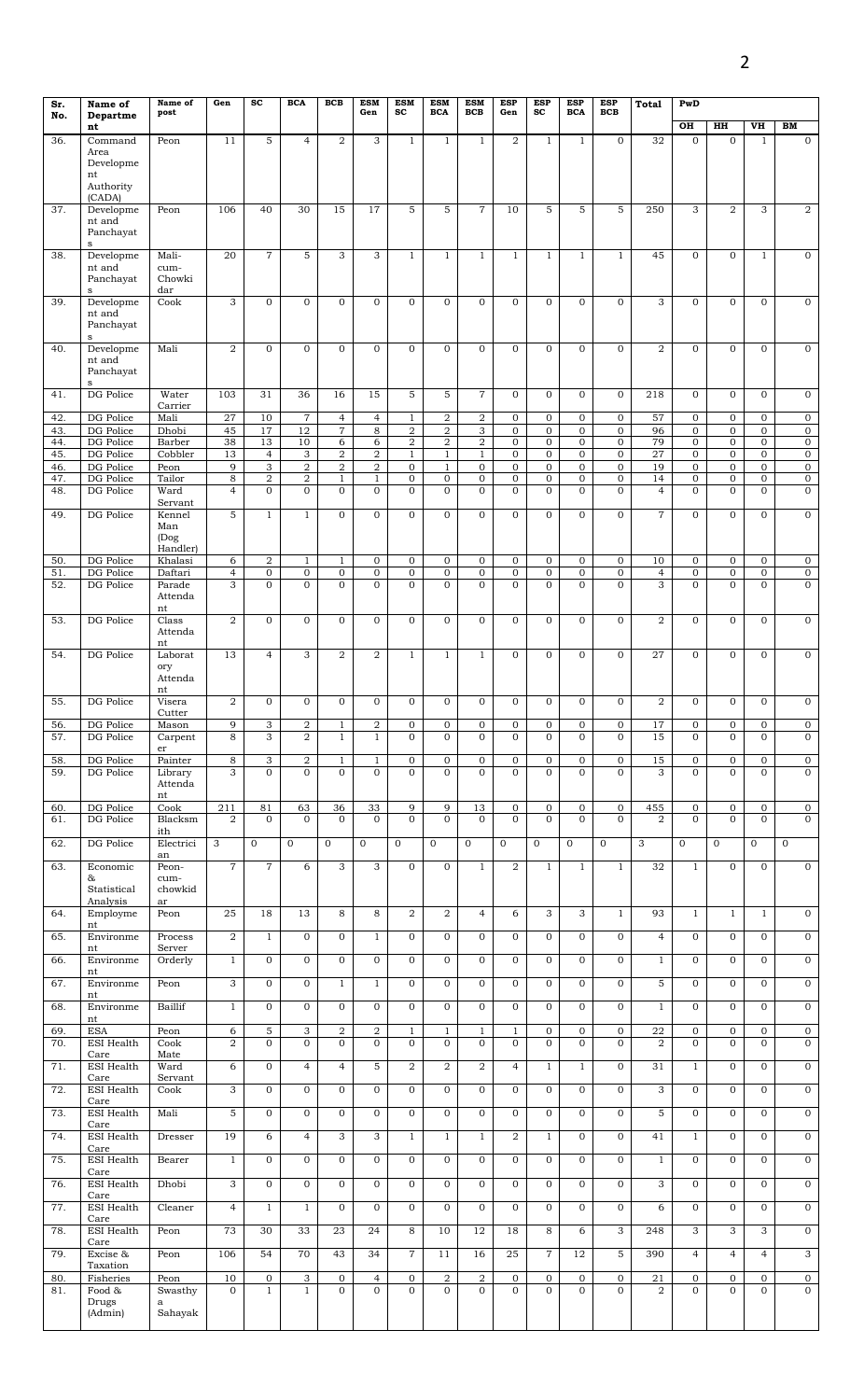| Sr.        | Name of                | Name of                | Gen                 | $\mathbf{sc}$                    | <b>BCA</b>               | <b>BCB</b>                     | <b>ESM</b>                     | <b>ESM</b>                       | <b>ESM</b>                       | <b>ESM</b>                    | <b>ESP</b>                     | <b>ESP</b>                     | <b>ESP</b>                     | <b>ESP</b>                       | <b>Total</b>          | PwD                            |                                  |                                  |                                  |
|------------|------------------------|------------------------|---------------------|----------------------------------|--------------------------|--------------------------------|--------------------------------|----------------------------------|----------------------------------|-------------------------------|--------------------------------|--------------------------------|--------------------------------|----------------------------------|-----------------------|--------------------------------|----------------------------------|----------------------------------|----------------------------------|
| No.        | Departme               | post                   |                     |                                  |                          |                                | Gen                            | $_{sc}$                          | <b>BCA</b>                       | BCB                           | Gen                            | SC                             | <b>BCA</b>                     | BCB                              |                       |                                |                                  |                                  |                                  |
| 36.        | nt<br>Command          | Peon                   | 11                  | 5                                | $\overline{4}$           | $\overline{2}$                 | 3                              | $\mathbf{1}$                     | $\mathbf{1}$                     | 1                             | $\overline{2}$                 | $\mathbf{1}$                   | $\mathbf{1}$                   | $\mathbf{0}$                     | 32                    | OH<br>$\mathbf{0}$             | HH<br>$\mathbf{0}$               | VH<br>$\mathbf{1}$               | BM<br>$\mathbf 0$                |
|            | Area                   |                        |                     |                                  |                          |                                |                                |                                  |                                  |                               |                                |                                |                                |                                  |                       |                                |                                  |                                  |                                  |
|            | Developme              |                        |                     |                                  |                          |                                |                                |                                  |                                  |                               |                                |                                |                                |                                  |                       |                                |                                  |                                  |                                  |
|            | nt<br>Authority        |                        |                     |                                  |                          |                                |                                |                                  |                                  |                               |                                |                                |                                |                                  |                       |                                |                                  |                                  |                                  |
|            | (CADA)                 |                        |                     |                                  |                          |                                |                                |                                  |                                  |                               |                                |                                |                                |                                  |                       |                                |                                  |                                  |                                  |
| 37.        | Developme              | Peon                   | 106                 | 40                               | 30                       | 15                             | 17                             | 5                                | 5                                | $\overline{7}$                | 10                             | 5                              | 5                              | 5                                | 250                   | 3                              | $\overline{a}$                   | 3                                | $\boldsymbol{2}$                 |
|            | nt and<br>Panchavat    |                        |                     |                                  |                          |                                |                                |                                  |                                  |                               |                                |                                |                                |                                  |                       |                                |                                  |                                  |                                  |
|            | $\mathbf s$            |                        |                     |                                  |                          |                                |                                |                                  |                                  |                               |                                |                                |                                |                                  |                       |                                |                                  |                                  |                                  |
| 38.        | Developme<br>nt and    | Mali-<br>cum-          | 20                  | $\overline{7}$                   | 5                        | 3                              | 3                              | $\mathbf{1}$                     | $\mathbf{1}$                     | $\mathbf{1}$                  | $\mathbf{1}$                   | $\mathbf{1}$                   | $\mathbf{1}$                   | $\mathbf{1}$                     | 45                    | $\mathbf{0}$                   | $\mathbf{0}$                     | $\mathbf{1}$                     | $\mathbf 0$                      |
|            | Panchavat              | Chowki                 |                     |                                  |                          |                                |                                |                                  |                                  |                               |                                |                                |                                |                                  |                       |                                |                                  |                                  |                                  |
|            | $\mathbf{s}$           | dar                    |                     |                                  |                          |                                |                                |                                  |                                  |                               |                                |                                |                                |                                  |                       |                                |                                  |                                  |                                  |
| 39.        | Developme<br>nt and    | Cook                   | 3                   | $\mathbf 0$                      | $\overline{0}$           | $\overline{0}$                 | $\mathbf 0$                    | $\Omega$                         | $\mathbf{O}$                     | $\mathbf{O}$                  | $\Omega$                       | $\overline{0}$                 | $\overline{0}$                 | $\mathbf 0$                      | 3                     | $\mathbf{O}$                   | $\mathbf{0}$                     | $\mathbf 0$                      | $\mathbf 0$                      |
|            | Panchayat              |                        |                     |                                  |                          |                                |                                |                                  |                                  |                               |                                |                                |                                |                                  |                       |                                |                                  |                                  |                                  |
|            | $\mathbf s$            |                        |                     |                                  |                          |                                |                                |                                  |                                  |                               |                                |                                | $\mathbf{0}$                   |                                  |                       |                                |                                  |                                  |                                  |
| 40.        | Developme<br>nt and    | Mali                   | $\overline{a}$      | $\overline{0}$                   | $\overline{0}$           | $\overline{0}$                 | $\mathbf 0$                    | $\mathbf{0}$                     | $\overline{0}$                   | $\mathbf{0}$                  | $\mathbf{O}$                   | $\mathbf{O}$                   |                                | $\mathbf 0$                      | 2                     | $\mathbf{0}$                   | $\overline{0}$                   | $\mathbf 0$                      | $\mathbf 0$                      |
|            | Panchayat              |                        |                     |                                  |                          |                                |                                |                                  |                                  |                               |                                |                                |                                |                                  |                       |                                |                                  |                                  |                                  |
| 41.        | s<br>DG Police         | Water                  | 103                 | 31                               | 36                       | 16                             | 15                             | 5                                | 5                                | $\overline{7}$                | $\mathbf{O}$                   | $\overline{0}$                 | $\mathbf 0$                    | $\mathbf 0$                      | 218                   | $\mathbf{0}$                   | $\mathbf{0}$                     | $\mathbf 0$                      | $\mathbf{0}$                     |
|            |                        | Carrier                |                     |                                  |                          |                                |                                |                                  |                                  |                               |                                |                                |                                |                                  |                       |                                |                                  |                                  |                                  |
| 42.        | DG Police              | Mali                   | $\overline{27}$     | 10                               | $\,7$                    | $\overline{4}$                 | $\overline{4}$                 | $\mathbf{1}$                     | $\boldsymbol{2}$                 | $\overline{\mathbf{2}}$       | $\mathbf 0$                    | 0                              | $\mathbf 0$                    | $\mathbf 0$                      | 57                    | $\mathbf{0}$                   | $\mathbf{0}$                     | $\overline{0}$                   | $\overline{0}$                   |
| 43.<br>44. | DG Police<br>DG Police | Dhobi<br>Barber        | 45<br>38            | 17<br>13                         | 12<br>10                 | $\overline{7}$<br>6            | 8<br>6                         | $\overline{a}$<br>$\overline{a}$ | $\overline{a}$<br>$\overline{a}$ | 3<br>2                        | $\mathbf 0$<br>$\mathbf{0}$    | $\mathbf{0}$<br>$\mathbf{0}$   | $\mathbf{0}$<br>$\mathbf{0}$   | $\overline{0}$<br>$\overline{0}$ | 96<br>79              | $\mathbf{0}$<br>$\mathbf 0$    | $\overline{0}$<br>$\overline{0}$ | $\overline{0}$<br>$\overline{0}$ | $\overline{0}$<br>$\overline{0}$ |
| 45.        | DG Police              | Cobbler                | 13                  | $\overline{4}$                   | 3                        | $\overline{2}$                 | $\overline{\mathbf{2}}$        | $\mathbf{1}$                     | $\mathbf{1}$                     | $\mathbf{1}$                  | $\mathbf 0$                    | 0                              | $\mathbf 0$                    | $\overline{0}$                   | 27                    | $\mathbf{0}$                   | $\overline{0}$                   | $\overline{0}$                   | $\overline{0}$                   |
| 46.        | DG Police              | Peon                   | 9                   | 3                                | 2                        | $\overline{\mathbf{2}}$        | 2                              | $\mathbf{0}$                     | $\mathbf{1}$                     | 0                             | 0                              | 0                              | $\mathbf{0}$                   | $\mathbf 0$                      | 19                    | $\overline{0}$                 | $\mathbf{0}$                     | $\mathbf 0$                      | $\overline{0}$                   |
| 47.        | DG Police<br>DG Police | Tailor<br>Ward         | 8<br>$\overline{4}$ | $\overline{2}$<br>$\mathbf{O}$   | 2<br>$\overline{0}$      | $\mathbf{1}$<br>$\mathbf{O}$   | $\,1$<br>$\mathbf 0$           | 0<br>$\mathbf{0}$                | $\mathbf 0$<br>$\mathbf{O}$      | $\mathbf 0$<br>$\overline{0}$ | 0<br>$\overline{0}$            | 0<br>$\overline{0}$            | $\mathbf 0$<br>$\mathbf{0}$    | $\mathbf 0$<br>$\mathbf{O}$      | 14<br>$\overline{4}$  | $\mathbf 0$<br>$\Omega$        | $\mathbf 0$<br>$\overline{0}$    | $\overline{0}$<br>$\mathbf{O}$   | $\overline{0}$<br>$\mathbf 0$    |
| 48.        |                        | Servant                |                     |                                  |                          |                                |                                |                                  |                                  |                               |                                |                                |                                |                                  |                       |                                |                                  |                                  |                                  |
| 49.        | DG Police              | Kennel                 | 5                   | $\mathbf{1}$                     | $\mathbf{1}$             | $\overline{O}$                 | $\mathbf 0$                    | $\mathbf{0}$                     | $\mathbf{O}$                     | $\mathbf{O}$                  | $\mathbf{O}$                   | $\overline{0}$                 | $\overline{0}$                 | $\mathbf 0$                      | $\overline{7}$        | $\mathbf{0}$                   | $\mathbf{0}$                     | $\mathbf{O}$                     | $\mathbf{O}$                     |
|            |                        | Man                    |                     |                                  |                          |                                |                                |                                  |                                  |                               |                                |                                |                                |                                  |                       |                                |                                  |                                  |                                  |
|            |                        | (Dog)<br>Handler)      |                     |                                  |                          |                                |                                |                                  |                                  |                               |                                |                                |                                |                                  |                       |                                |                                  |                                  |                                  |
| 50.        | DG Police              | Khalasi                | 6                   | 2                                | $\mathbf{1}$             | $\mathbf{1}$                   | $\mathbf 0$                    | $\mathbf{0}$                     | $\mathbf{0}$                     | $\mathbf{0}$                  | $\mathbf 0$                    | 0                              | $\overline{0}$                 | $\mathbf{0}$                     | 10                    | $\mathbf{0}$                   | $\mathbf{0}$                     | $\mathbf 0$                      | $\overline{0}$                   |
| 51.        | DG Police              | Daftari                | $\overline{4}$      | $\overline{0}$<br>$\overline{0}$ | $\mathbf{0}$<br>$\Omega$ | $\mathbf{O}$<br>$\overline{O}$ | $\mathbf 0$<br>$\mathbf{O}$    | $\mathbf{0}$<br>$\mathbf{O}$     | $\mathbf 0$<br>$\mathbf{O}$      | $\mathbf 0$<br>$\overline{0}$ | $\mathbf 0$<br>$\overline{0}$  | $\mathbf 0$<br>$\overline{0}$  | $\overline{0}$<br>$\mathbf{O}$ | $\mathbf{0}$<br>$\mathbf 0$      | $\overline{4}$<br>3   | $\mathbf{0}$<br>$\mathbf{0}$   | $\mathbf 0$<br>$\mathbf{0}$      | $\mathbf 0$<br>$\overline{0}$    | $\overline{0}$<br>$\overline{0}$ |
| 52.        | DG Police              | Parade<br>Attenda      | 3                   |                                  |                          |                                |                                |                                  |                                  |                               |                                |                                |                                |                                  |                       |                                |                                  |                                  |                                  |
|            |                        | nt                     |                     |                                  |                          |                                |                                |                                  |                                  |                               |                                |                                |                                |                                  |                       |                                |                                  |                                  |                                  |
| 53.        | DG Police              | Class<br>Attenda       | $\overline{a}$      | $\mathbf{0}$                     | $\overline{0}$           | 0                              | $\mathbf 0$                    | $\mathbf{0}$                     | $\mathbf{0}$                     | $\overline{0}$                | $\mathbf{O}$                   | $\overline{0}$                 | $\mathbf{O}$                   | $\mathbf{0}$                     | $\overline{a}$        | $\mathbf{0}$                   | $\mathbf 0$                      | $\mathbf 0$                      | $\overline{0}$                   |
|            |                        | nt                     |                     |                                  |                          |                                |                                |                                  |                                  |                               |                                |                                |                                |                                  |                       |                                |                                  |                                  |                                  |
| 54.        | DG Police              | Laborat                | 13                  | $\overline{4}$                   | 3                        | 2                              | $\overline{a}$                 | $\mathbf{1}$                     | $\mathbf{1}$                     | $\mathbf{1}$                  | $\overline{0}$                 | $\mathbf{O}$                   | $\mathbf{0}$                   | $\overline{0}$                   | 27                    | $\mathbf{0}$                   | $\mathbf{0}$                     | $\mathbf 0$                      | $\overline{0}$                   |
|            |                        | ory<br>Attenda         |                     |                                  |                          |                                |                                |                                  |                                  |                               |                                |                                |                                |                                  |                       |                                |                                  |                                  |                                  |
|            |                        | nt                     |                     |                                  |                          |                                |                                |                                  |                                  |                               |                                |                                |                                |                                  |                       |                                |                                  |                                  |                                  |
| 55.        | DG Police              | Visera                 | $\,2$               | $\mathbf{0}$                     | $\overline{0}$           | 0                              | 0                              | $\overline{0}$                   | $\mathbf 0$                      | 0                             | $\overline{0}$                 | 0                              | $\mathbf{O}$                   | $\mathbf{0}$                     | $\overline{a}$        | $\mathbf{0}$                   | $\mathbf{0}$                     | $\mathbf 0$                      | $\mathbf{0}$                     |
| 56.        | DG Police              | Cutter<br>Mason        | 9                   | 3                                | $\,2$                    | $\mathbf{1}$                   | $\overline{2}$                 | 0                                | $\mathbf 0$                      | $\mathbf 0$                   | $\mathbf 0$                    | 0                              | $\mathbf 0$                    | $\mathbf 0$                      | 17                    | $\mathbf{0}$                   | $\mathbf 0$                      | $\mathbf 0$                      | $\overline{0}$                   |
| 57.        | DG Police              | Carpent                | 8                   | 3                                | $\overline{2}$           | $\mathbf{1}$                   | $\mathbf{1}$                   | $\mathbf{0}$                     | $\mathbf{O}$                     | $\overline{O}$                | $\mathbf{0}$                   | $\overline{0}$                 | $\mathbf{O}$                   | $\mathbf{O}$                     | 15                    | $\Omega$                       | $\mathbf{0}$                     | $\mathbf{O}$                     | $\mathbf 0$                      |
|            |                        | er                     |                     |                                  |                          |                                |                                |                                  |                                  |                               |                                |                                |                                |                                  |                       |                                |                                  |                                  |                                  |
| 58.<br>59. | DG Police<br>DG Police | Painter<br>Library     | $\,8\,$<br>3        | 3<br>$\overline{0}$              | 2<br>$\Omega$            | $\mathbf{1}$<br>$\Omega$       | $\mathbf{1}$<br>$\mathbf{0}$   | $\mathbf 0$<br>$\Omega$          | $\mathbf 0$<br>$\Omega$          | $\mathbf{0}$<br>$\mathbf{O}$  | 0<br>$\Omega$                  | 0<br>$\overline{0}$            | $\mathbf 0$<br>$\overline{0}$  | $\mathbf 0$<br>$\mathbf{O}$      | 15<br>3               | $\mathbf{0}$<br>$\Omega$       | $\mathbf{0}$<br>$\Omega$         | $\mathbf 0$<br>$\mathbf{O}$      | $\overline{0}$<br>$\overline{0}$ |
|            |                        | Attenda                |                     |                                  |                          |                                |                                |                                  |                                  |                               |                                |                                |                                |                                  |                       |                                |                                  |                                  |                                  |
|            |                        | nt                     |                     |                                  |                          |                                |                                |                                  |                                  |                               |                                |                                |                                |                                  |                       |                                |                                  |                                  |                                  |
| 60.<br>61. | DG Police<br>DG Police | Cook<br>Blacksm        | 211<br>2            | 81<br>$\mathbf 0$                | 63<br>$\overline{0}$     | 36<br>$\mathbf{0}$             | 33<br>$\mathbf 0$              | 9<br>$\mathbf{O}$                | 9<br>$\mathbf{O}$                | 13<br>$\mathbf{0}$            | $\mathbf{0}$<br>$\mathbf{0}$   | $\overline{0}$<br>$\mathbf{O}$ | $\mathbf{0}$<br>$\mathbf{0}$   | $\overline{0}$<br>$\mathbf{0}$   | 455<br>$\overline{2}$ | $\overline{0}$<br>$\mathbf{0}$ | $\overline{0}$<br>$\overline{0}$ | $\mathbf 0$<br>$\overline{0}$    | $\overline{0}$<br>$\mathbf 0$    |
|            |                        | ith                    |                     |                                  |                          |                                |                                |                                  |                                  |                               |                                |                                |                                |                                  |                       |                                |                                  |                                  |                                  |
| 62.        | DG Police              | Electrici              | 3                   | $\mathbf{0}$                     | $\mathbf{0}$             | $\mathbf{0}$                   | $\mathbf 0$                    | $\overline{0}$                   | $\mathbf{0}$                     | $\mathbf{0}$                  | $\mathbf{O}$                   | $\mathbf{0}$                   | $\mathbf 0$                    | $\mathbf{0}$                     | 3                     | $\mathbf{0}$                   | $\mathbf{O}$                     | $\mathbf{0}$                     | $\mathbf{O}$                     |
| 63.        | Economic               | an<br>Peon-            | $\sqrt{ }$          | $\overline{7}$                   | 6                        | 3                              | 3                              | $\mathbf{0}$                     | $\mathbf 0$                      | $1\,$                         | $\overline{a}$                 | $\mathbf{1}$                   | $\mathbf{1}$                   | $\mathbf{1}$                     | 32                    | $\mathbf{1}$                   | $\overline{0}$                   | $\mathbf{O}$                     | $\mathbf 0$                      |
|            | &                      | cum-                   |                     |                                  |                          |                                |                                |                                  |                                  |                               |                                |                                |                                |                                  |                       |                                |                                  |                                  |                                  |
|            | Statistical            | chowkid                |                     |                                  |                          |                                |                                |                                  |                                  |                               |                                |                                |                                |                                  |                       |                                |                                  |                                  |                                  |
| 64.        | Analysis<br>Employme   | ar<br>Peon             | 25                  | 18                               | 13                       | 8                              | 8                              | 2                                | 2                                | $\overline{4}$                | 6                              | 3                              | 3                              | $\mathbf{1}$                     | 93                    | $\mathbf{1}$                   | $\mathbf{1}$                     | $\mathbf{1}$                     | $\overline{0}$                   |
|            | nt                     |                        |                     |                                  |                          |                                |                                |                                  |                                  |                               |                                |                                |                                |                                  |                       |                                |                                  |                                  |                                  |
| 65.        | Environme<br>nt        | Process<br>Server      | $\,2$               | $\mathbf{1}$                     | $\mathbf{O}$             | 0                              | $\mathbf{1}$                   | $\mathbf{0}$                     | $\mathbf{O}$                     | $\overline{0}$                | $\mathbf{O}$                   | $\overline{0}$                 | $\mathbf{0}$                   | $\mathbf 0$                      | $\overline{4}$        | $\mathbf{0}$                   | $\mathbf{0}$                     | $\mathbf{0}$                     | $\mathbf 0$                      |
| 66.        | Environme              | Orderly                | $\mathbf{1}$        | $\mathbf{0}$                     | $\mathbf{O}$             | $\mathbf{O}$                   | $\mathbf{0}$                   | $\mathbf{0}$                     | $\mathbf{O}$                     | $\mathbf{O}$                  | $\mathbf{O}$                   | $\mathbf{0}$                   | $\overline{0}$                 | $\mathbf 0$                      | $\mathbf{1}$          | $\mathbf{0}$                   | $\mathbf{0}$                     | $\overline{0}$                   | $\overline{0}$                   |
|            | nt                     |                        |                     |                                  |                          |                                |                                |                                  |                                  |                               |                                |                                |                                |                                  |                       | $\Omega$                       |                                  |                                  |                                  |
| 67.        | Environme<br>nt        | Peon                   | 3                   | $\mathbf{0}$                     | $\mathbf{O}$             | $\mathbf{1}$                   | $\mathbf{1}$                   | $\mathbf{0}$                     | $\mathbf{0}$                     | $\mathbf{O}$                  | $\mathbf{O}$                   | $\overline{0}$                 | $\overline{0}$                 | $\mathbf{O}$                     | 5                     |                                | $\mathbf{0}$                     | $\mathbf{O}$                     | $\mathbf 0$                      |
| 68.        | Environme              | Baillif                | $\mathbf{1}$        | $\overline{0}$                   | $\overline{0}$           | $\overline{0}$                 | $\mathbf 0$                    | $\overline{0}$                   | $\mathbf{0}$                     | $\mathbf{0}$                  | $\mathbf{0}$                   | $\overline{0}$                 | $\overline{0}$                 | $\overline{0}$                   | $\mathbf{1}$          | $\overline{0}$                 | $\overline{0}$                   | $\mathbf 0$                      | $\overline{0}$                   |
|            | nt<br><b>ESA</b>       |                        |                     | 5                                |                          | $\overline{a}$                 |                                |                                  |                                  |                               |                                | $\mathbf{0}$                   |                                |                                  |                       | $\mathbf{0}$                   | $\mathbf{0}$                     | $\overline{0}$                   |                                  |
| 69.<br>70. | ESI Health             | Peon<br>Cook           | 6<br>$\overline{2}$ | $\overline{0}$                   | 3<br>$\overline{0}$      | $\overline{0}$                 | $\overline{a}$<br>$\mathbf{0}$ | $\mathbf{1}$<br>$\mathbf{O}$     | $\mathbf{1}$<br>$\mathbf{O}$     | $\mathbf{1}$<br>$\mathbf{O}$  | $\mathbf{1}$<br>$\overline{0}$ | $\overline{O}$                 | $\mathbf 0$<br>$\overline{0}$  | $\mathbf 0$<br>$\mathbf{O}$      | 22<br>$\overline{2}$  | $\Omega$                       | $\mathbf{0}$                     | $\mathbf{O}$                     | $\overline{0}$<br>$\overline{0}$ |
|            | Care                   | Mate                   |                     |                                  |                          |                                |                                |                                  |                                  |                               |                                |                                |                                |                                  |                       |                                |                                  |                                  |                                  |
| 71.        | ESI Health<br>Care     | Ward<br>Servant        | 6                   | $\mathbf{0}$                     | $\overline{4}$           | $\overline{4}$                 | 5                              | $\overline{2}$                   | 2                                | $\overline{2}$                | $\overline{4}$                 | $\mathbf{1}$                   | $\mathbf{1}$                   | $\mathbf{0}$                     | 31                    | $\mathbf{1}$                   | $\mathbf{0}$                     | $\mathbf{O}$                     | $\mathbf 0$                      |
| 72.        | ESI Health             | Cook                   | 3                   | $\mathbf{0}$                     | $\mathbf{O}$             | $\overline{0}$                 | $\mathbf 0$                    | $\overline{0}$                   | $\mathbf{0}$                     | $\mathbf{O}$                  | $\overline{0}$                 | $\overline{0}$                 | $\overline{0}$                 | $\mathbf{0}$                     | 3                     | $\overline{0}$                 | $\overline{0}$                   | $\mathbf 0$                      | $\mathbf 0$                      |
|            | Care                   |                        |                     |                                  |                          |                                |                                |                                  |                                  |                               |                                |                                |                                |                                  |                       |                                |                                  |                                  |                                  |
| 73.        | ESI Health<br>Care     | Mali                   | 5                   | $\overline{0}$                   | $\mathbf{O}$             | $\mathbf{0}$                   | $\mathbf 0$                    | $\overline{0}$                   | $\mathbf{0}$                     | $\mathbf 0$                   | $\mathbf{0}$                   | $\overline{0}$                 | $\overline{0}$                 | $\mathbf{0}$                     | 5                     | $\mathbf{0}$                   | $\overline{0}$                   | $\overline{0}$                   | $\overline{0}$                   |
| 74.        | ESI Health             | Dresser                | 19                  | 6                                | $\overline{4}$           | 3                              | 3                              | $\mathbf{1}$                     | $\mathbf{1}$                     | $\mathbf{1}$                  | $\overline{2}$                 | $\mathbf{1}$                   | $\mathbf{0}$                   | $\mathbf{0}$                     | 41                    | $\mathbf{1}$                   | $\mathbf{0}$                     | $\overline{0}$                   | $\mathbf 0$                      |
|            | Care                   |                        |                     |                                  |                          |                                |                                |                                  |                                  |                               |                                |                                |                                |                                  |                       |                                |                                  |                                  |                                  |
| 75.        | ESI Health<br>Care     | Bearer                 | $\mathbf{1}$        | $\mathbf 0$                      | $\mathbf{O}$             | $\overline{O}$                 | $\mathbf 0$                    | $\mathbf{O}$                     | $\mathbf{O}$                     | $\mathbf{O}$                  | $\Omega$                       | $\overline{0}$                 | $\overline{0}$                 | $\mathbf 0$                      | $\mathbf{1}$          | $\mathbf{0}$                   | $\mathbf{0}$                     | 0                                | $\overline{0}$                   |
| 76.        | ESI Health             | Dhobi                  | 3                   | $\mathbf{0}$                     | $\mathbf{O}$             | $\overline{0}$                 | $\mathbf 0$                    | $\overline{0}$                   | $\mathbf{0}$                     | $\overline{0}$                | $\mathbf{0}$                   | $\overline{0}$                 | $\overline{0}$                 | $\mathbf 0$                      | 3                     | $\mathbf{0}$                   | $\overline{0}$                   | $\mathbf 0$                      | $\overline{0}$                   |
|            | Care                   |                        |                     |                                  |                          |                                |                                |                                  |                                  |                               |                                |                                |                                |                                  |                       |                                |                                  |                                  |                                  |
| 77.        | ESI Health<br>Care     | Cleaner                | $\overline{4}$      | $\mathbf{1}$                     | $\mathbf{1}$             | $\overline{0}$                 | $\mathbf{0}$                   | $\mathbf{0}$                     | $\mathbf{O}$                     | $\mathbf{O}$                  | $\Omega$                       | $\mathbf{O}$                   | $\mathbf{0}$                   | $\mathbf{0}$                     | 6                     | $\mathbf{0}$                   | $\mathbf{0}$                     | $\mathbf{0}$                     | $\mathbf 0$                      |
| 78.        | ESI Health             | Peon                   | 73                  | 30                               | 33                       | 23                             | 24                             | 8                                | 10                               | 12                            | 18                             | 8                              | 6                              | 3                                | 248                   | 3                              | 3                                | 3                                | $\mathbf 0$                      |
| 79.        | Care<br>Excise &       | Peon                   | 106                 | 54                               | 70                       | 43                             | 34                             | $\overline{7}$                   | 11                               | 16                            | 25                             | $\overline{7}$                 | 12                             | $\overline{5}$                   | 390                   | $\overline{4}$                 | $\overline{4}$                   | $\overline{4}$                   | 3                                |
|            | Taxation               |                        |                     |                                  |                          |                                |                                |                                  |                                  |                               |                                |                                |                                |                                  |                       |                                |                                  |                                  |                                  |
| 80.        | Fisheries              | Peon                   | 10                  | $\mathbf{0}$                     | 3                        | 0                              | 4                              | $\mathbf{0}$                     | 2                                | $\overline{\mathbf{2}}$       | $\mathbf{0}$                   | 0                              | $\mathbf 0$                    | $\mathbf 0$                      | 21                    | $\mathbf 0$                    | $\mathbf{0}$                     | $\mathbf 0$                      | $\mathbf 0$                      |
| 81.        | Food &<br>Drugs        | Swasthy<br>$\mathbf a$ | $\mathbf{0}$        | $\mathbf{1}$                     | $\mathbf{1}$             | $\overline{O}$                 | $\mathbf{0}$                   | $\Omega$                         | $\Omega$                         | $\mathbf{O}$                  | $\overline{0}$                 | $\Omega$                       | $\overline{0}$                 | $\mathbf{O}$                     | 2                     | $\mathbf{0}$                   | $\mathbf{0}$                     | $\mathbf 0$                      | $\mathbf{O}$                     |
|            | (Admin)                | Sahayak                |                     |                                  |                          |                                |                                |                                  |                                  |                               |                                |                                |                                |                                  |                       |                                |                                  |                                  |                                  |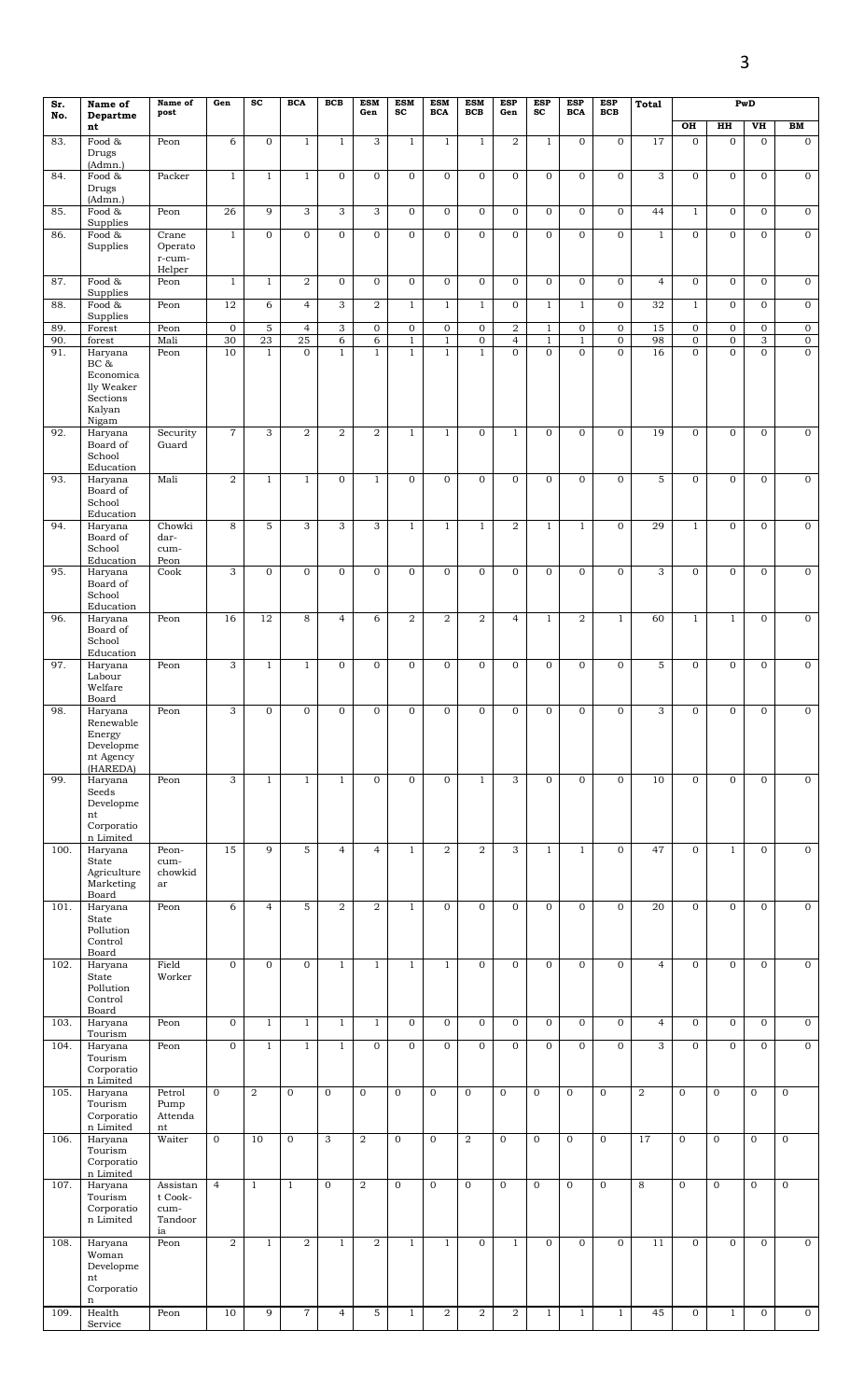| Sr.  | Name of                                                                   | Name of<br>post                         | Gen              | $\operatorname{sc}$ | <b>BCA</b>     | <b>BCB</b>       | <b>ESM</b><br>Gen | <b>ESM</b><br>sc | <b>ESM</b><br><b>BCA</b> | <b>ESM</b><br><b>BCB</b> | <b>ESP</b><br>Gen | <b>ESP</b><br>sc | <b>ESP</b><br><b>BCA</b> | ESP<br><b>BCB</b> | Total          |                |                | PwD                       |                  |
|------|---------------------------------------------------------------------------|-----------------------------------------|------------------|---------------------|----------------|------------------|-------------------|------------------|--------------------------|--------------------------|-------------------|------------------|--------------------------|-------------------|----------------|----------------|----------------|---------------------------|------------------|
| No.  | Departme<br>nt                                                            |                                         |                  |                     |                |                  |                   |                  |                          |                          |                   |                  |                          |                   |                | OH             | H H            | $\overline{\text{v}}$     | BM               |
| 83.  | Food &<br>Drugs                                                           | Peon                                    | 6                | $\boldsymbol{0}$    | $\mathbf{1}$   | $\mathbf{1}$     | 3                 | $\mathbf{1}$     | $\mathbf{1}$             | $\mathbf{1}$             | $\overline{2}$    | $\mathbf{1}$     | 0                        | $\mathbf 0$       | 17             | $\mathbf{0}$   | $\mathbf 0$    | $\mathbf 0$               | $\mathbf 0$      |
| 84.  | (Admn.)<br>Food &<br>Drugs                                                | Packer                                  | $\mathbf{1}$     | $\mathbf{1}$        | $\mathbf{1}$   | $\boldsymbol{0}$ | $\mathbf 0$       | $\mathbf{0}$     | $\mathbf{0}$             | $\mathbf 0$              | $\mathbf 0$       | $\mathbf{0}$     | 0                        | $\mathbf 0$       | 3              | 0              | $\mathbf 0$    | $\mathbf 0$               | $\mathbf{0}$     |
|      | (Admn.)                                                                   |                                         |                  |                     |                |                  |                   |                  |                          |                          |                   |                  |                          |                   |                |                |                |                           |                  |
| 85.  | Food &<br>Supplies                                                        | Peon                                    | $\overline{26}$  | 9                   | 3              | $\overline{3}$   | 3                 | $\mathbf 0$      | $\mathbf 0$              | $\mathbf 0$              | $\mathbf 0$       | $\mathbf{0}$     | $\mathbf{0}$             | $\overline{0}$    | 44             | $\mathbf{1}$   | $\overline{0}$ | $\mathbf 0$               | $\mathbf 0$      |
| 86.  | Food &<br>Supplies                                                        | $\overline{Crane}$<br>Operato<br>r-cum- | $\mathbf{1}$     | $\mathbf 0$         | $\overline{0}$ | $\mathbf 0$      | $\mathbf 0$       | $\mathbf{0}$     | $\mathbf{O}$             | $\mathbf 0$              | $\mathbf{0}$      | $\mathbf{O}$     | 0                        | $\mathbf 0$       | $\mathbf{1}$   | 0              | $\mathbf{O}$   | $\mathbf{0}$              | $\mathbf 0$      |
| 87.  | Food &                                                                    | Helper<br>Peon                          | $\mathbf{1}$     | $\mathbf{1}$        | 2              | $\mathbf 0$      | $\mathbf{0}$      | $\mathbf{O}$     | $\mathbf{0}$             | $\mathbf{0}$             | $\mathbf{0}$      | $\mathbf 0$      | 0                        | $\mathbf{0}$      | $\overline{4}$ | $\mathbf{0}$   | $\mathbf 0$    | $\mathbf{0}$              | $\boldsymbol{0}$ |
| 88.  | Supplies<br>Food &                                                        | Peon                                    | 12               | 6                   | $\overline{4}$ | 3                | $\overline{2}$    | $\mathbf{1}$     | $\mathbf{1}$             | $\mathbf{1}$             | $\mathbf 0$       | $\mathbf{1}$     | $\mathbf{1}$             | $\mathbf 0$       | 32             | $\mathbf{1}$   | $\overline{0}$ | $\overline{0}$            | $\mathbf 0$      |
| 89.  | Supplies<br>Forest                                                        | Peon                                    | $\boldsymbol{0}$ | 5                   | $\overline{4}$ | $\mathbf{3}$     | $\overline{0}$    | $\mathbf 0$      | $\mathbf 0$              | $\mathbf 0$              | $\overline{a}$    | $\mathbf{1}$     | 0                        | $\mathbf 0$       | 15             | $\overline{0}$ | $\mathbf 0$    | $\boldsymbol{0}$          | $\mathbf 0$      |
| 90.  | forest                                                                    | Mali                                    | 30               | 23                  | 25             | 6                | 6                 | $\mathbf{1}$     | $\mathbf{1}$             | $\mathbf 0$              | $\overline{4}$    | $\mathbf{1}$     | $\mathbf{1}$             | $\overline{0}$    | 98             | $\overline{0}$ | $\mathbf 0$    | $\ensuremath{\mathsf{3}}$ | $\overline{0}$   |
| 91.  | Haryana<br>BC &<br>Economica<br>lly Weaker<br>Sections<br>Kalyan<br>Nigam | Peon                                    | 10               | $\mathbf{1}$        | $\mathbf{0}$   | $1\,$            | $\mathbf{1}$      | $\mathbf{1}$     | $\mathbf{1}$             | $1\,$                    | $\mathbf{0}$      | $\overline{0}$   | $\overline{0}$           | $\mathbf 0$       | 16             | $\overline{0}$ | $\overline{0}$ | $\mathbf{O}$              | $\mathbf{O}$     |
| 92.  | Haryana<br>Board of<br>School<br>Education                                | Security<br>Guard                       | $\,7$            | 3                   | 2              | $\boldsymbol{2}$ | $\overline{2}$    | $\mathbf{1}$     | $\mathbf{1}$             | $\mathbf 0$              | $\mathbf{1}$      | $\mathbf{0}$     | 0                        | $\mathbf 0$       | 19             | $\mathbf{O}$   | $\mathbf{O}$   | $\mathbf{0}$              | $\overline{0}$   |
| 93.  | Haryana<br>Board of<br>School                                             | Mali                                    | $\boldsymbol{2}$ | $\mathbf{1}$        | $\mathbf{1}$   | $\overline{0}$   | $1\,$             | $\mathbf{0}$     | $\mathbf 0$              | $\overline{0}$           | $\mathbf 0$       | $\mathbf 0$      | $\overline{0}$           | $\mathbf 0$       | 5              | $\mathbf{0}$   | $\overline{0}$ | $\overline{0}$            | $\mathbf 0$      |
| 94.  | Education<br>Haryana                                                      | Chowki                                  | 8                | $\mathbf 5$         | 3              | 3                | 3                 | $\mathbf{1}$     | $\mathbf{1}$             | $\mathbf{1}$             | $\overline{2}$    | $\mathbf{1}$     | $\mathbf{1}$             | $\mathbf 0$       | 29             | $\mathbf{1}$   | $\mathbf 0$    | $\mathbf 0$               | $\mathbf{0}$     |
|      | Board of<br>School                                                        | dar-<br>cum-                            |                  |                     |                |                  |                   |                  |                          |                          |                   |                  |                          |                   |                |                |                |                           |                  |
| 95.  | Education<br>Haryana                                                      | Peon<br>Cook                            | 3                | $\mathbf 0$         | $\mathbf 0$    | $\mathbf 0$      | $\mathbf 0$       | $\mathbf{0}$     | $\mathbf 0$              | $\mathbf 0$              | $\mathbf 0$       | $\mathbf{0}$     | $\mathbf 0$              | $\mathbf 0$       | 3              | $\mathbf{0}$   | $\mathbf 0$    | $\mathbf 0$               | $\mathbf 0$      |
|      | Board of<br>School<br>Education                                           |                                         |                  |                     |                |                  |                   |                  |                          |                          |                   |                  |                          |                   |                |                |                |                           |                  |
| 96.  | Haryana<br>Board of<br>School                                             | Peon                                    | 16               | 12                  | 8              | $\overline{4}$   | 6                 | 2                | $\overline{2}$           | $\overline{2}$           | $\overline{4}$    | $\mathbf{1}$     | $\overline{2}$           | $\mathbf{1}$      | 60             | $\mathbf{1}$   | $\mathbf{1}$   | $\mathbf{0}$              | $\mathbf{0}$     |
| 97.  | Education<br>Haryana                                                      | Peon                                    | 3                | $\mathbf{1}$        | $\mathbf{1}$   | $\mathbf{0}$     | $\mathbf{0}$      | $\mathbf{O}$     | $\mathbf{0}$             | $\mathbf{0}$             | $\mathbf{0}$      | $\overline{0}$   | 0                        | $\mathbf{O}$      | 5              | 0              | $\mathbf 0$    | $\mathbf{0}$              | $\mathbf 0$      |
|      | Labour<br>Welfare<br>Board                                                |                                         |                  |                     |                |                  |                   |                  |                          |                          |                   |                  |                          |                   |                |                |                |                           |                  |
| 98.  | Haryana<br>Renewable<br>Energy<br>Developme<br>nt Agency<br>(HAREDA)      | Peon                                    | $\overline{3}$   | $\mathbf 0$         | $\mathbf 0$    | $\overline{0}$   | $\mathbf{O}$      | $\mathbf 0$      | $\mathbf 0$              | $\mathbf 0$              | $\mathbf 0$       | $\mathbf{O}$     | $\mathbf{O}$             | $\mathbf 0$       | 3              | $\overline{0}$ | $\overline{0}$ | $\overline{0}$            | $\mathbf 0$      |
| 99.  | Haryana<br>Seeds<br>Developme<br>nt<br>Corporatio                         | Peon                                    | 3                | $\mathbf{1}$        | $\mathbf{1}$   | $\mathbf{1}$     | $\mathbf 0$       | $\overline{0}$   | $\mathbf 0$              | $\mathbf{1}$             | 3                 | $\mathbf{0}$     | $\mathbf{0}$             | $\overline{0}$    | 10             | $\mathbf{0}$   | $\mathbf{O}$   | $\mathbf 0$               | $\mathbf{0}$     |
| 100. | n Limited<br>Haryana                                                      | Peon-                                   | 15               | 9                   | 5              | $\overline{4}$   | $\overline{4}$    | $\mathbf{1}$     | $\overline{2}$           | $\boldsymbol{2}$         | 3                 | $\mathbf{1}$     | $\mathbf{1}$             | $\mathbf 0$       | 47             | 0              | $\mathbf{1}$   | $\mathbf 0$               | $\mathbf{0}$     |
|      | State<br>Agriculture<br>Marketing                                         | cum-<br>chowkid<br>ar                   |                  |                     |                |                  |                   |                  |                          |                          |                   |                  |                          |                   |                |                |                |                           |                  |
| 101. | Board<br>Haryana                                                          | Peon                                    | 6                | $\overline{4}$      | 5              | $\overline{2}$   | $\overline{2}$    | $\mathbf{1}$     | $\mathbf 0$              | $\mathbf{0}$             | $\mathbf{0}$      | $\overline{0}$   | $\overline{0}$           | $\mathbf{0}$      | 20             | $\overline{0}$ | $\overline{0}$ | $\mathbf 0$               | $\mathbf 0$      |
|      | State<br>Pollution<br>Control                                             |                                         |                  |                     |                |                  |                   |                  |                          |                          |                   |                  |                          |                   |                |                |                |                           |                  |
| 102. | Board<br>Haryana                                                          | Field                                   | $\mathbf{0}$     | $\mathbf 0$         | $\mathbf 0$    | $\mathbf{1}$     | $1\,$             | $\mathbf{1}$     | $\mathbf{1}$             | $\mathbf 0$              | $\mathbf 0$       | $\mathbf 0$      | 0                        | $\mathbf 0$       | $\overline{4}$ | $\mathbf{O}$   | $\mathbf{O}$   | $\boldsymbol{0}$          | $\mathbf 0$      |
|      | State<br>Pollution<br>Control<br>Board                                    | Worker                                  |                  |                     |                |                  |                   |                  |                          |                          |                   |                  |                          |                   |                |                |                |                           |                  |
| 103. | Haryana<br>Tourism                                                        | Peon                                    | $\mathbf 0$      | $\mathbf{1}$        | $\mathbf{1}$   | $\mathbf{1}$     | $\mathbf{1}$      | $\mathbf{O}$     | $\mathbf 0$              | $\mathbf{0}$             | $\mathbf{0}$      | $\mathbf{0}$     | $\overline{O}$           | $\mathbf{0}$      | $\overline{4}$ | $\mathbf{0}$   | $\mathbf 0$    | $\mathbf{0}$              | $\mathbf 0$      |
| 104. | Haryana<br>Tourism<br>Corporatio                                          | Peon                                    | $\mathbf 0$      | $\mathbf{1}$        | $\mathbf{1}$   | $\mathbf{1}$     | $\overline{0}$    | $\mathbf 0$      | $\mathbf 0$              | $\overline{0}$           | $\mathbf 0$       | $\mathbf 0$      | $\overline{0}$           | $\overline{0}$    | $\overline{3}$ | $\mathbf{O}$   | $\overline{0}$ | $\overline{0}$            | $\overline{0}$   |
| 105. | n Limited<br>Haryana<br>Tourism<br>Corporatio                             | Petrol<br>Pump<br>Attenda               | $\mathbf{0}$     | 2                   | $\mathbf{0}$   | $\overline{0}$   | $\mathbf 0$       | $\mathbf{0}$     | $\mathbf 0$              | $\mathbf 0$              | $\mathbf 0$       | $\overline{0}$   | $\mathbf{0}$             | $\mathbf 0$       | $\overline{2}$ | $\mathbf 0$    | $\mathbf 0$    | $\mathbf{0}$              | $\mathbf 0$      |
| 106. | n Limited<br>Haryana                                                      | nt<br>Waiter                            | $\mathbf{0}$     | 10                  | $\mathbf 0$    | 3                | $\boldsymbol{2}$  | $\overline{0}$   | $\mathbf{O}$             | $\,2$                    | $\mathbf{0}$      | $\mathbf{0}$     | $\mathbf{O}$             | $\mathbf 0$       | 17             | $\mathbf{0}$   | $\mathbf{0}$   | $\mathbf{0}$              | $\mathbf{0}$     |
|      | Tourism<br>Corporatio<br>n Limited                                        |                                         |                  |                     |                |                  |                   |                  |                          |                          |                   |                  |                          |                   |                |                |                |                           |                  |
| 107. | Haryana<br>Tourism<br>Corporatio<br>n Limited                             | Assistan<br>t Cook-<br>cum-<br>Tandoor  | $\overline{4}$   | $\mathbf{1}$        | $1\,$          | $\mathbf{0}$     | $\boldsymbol{2}$  | $\mathbf 0$      | $\mathbf{O}$             | $\mathbf 0$              | $\mathbf 0$       | $\mathbf{0}$     | $\overline{0}$           | $\mathbf 0$       | 8              | $\mathbf 0$    | $\mathbf 0$    | $\mathbf 0$               | $\mathbf 0$      |
| 108. | Haryana<br>Woman                                                          | ia<br>Peon                              | 2                | $\mathbf{1}$        | 2              | $\mathbf{1}$     | $\overline{a}$    | $\mathbf{1}$     | $\mathbf{1}$             | $\mathbf 0$              | $\mathbf{1}$      | $\mathbf 0$      | 0                        | $\mathbf{O}$      | 11             | 0              | $\mathbf{O}$   | $\mathbf 0$               | $\mathbf{0}$     |
|      | Developme<br>nt<br>Corporatio<br>n                                        |                                         |                  |                     |                |                  |                   |                  |                          |                          |                   |                  |                          |                   |                |                |                |                           |                  |
| 109. | Health<br>Service                                                         | Peon                                    | 10               | 9                   | $\overline{7}$ | $\overline{4}$   | 5                 | $\mathbf{1}$     | $\overline{a}$           | $\boldsymbol{2}$         | $\overline{a}$    | $\mathbf{1}$     | $\mathbf{1}$             | $\mathbf{1}$      | 45             | $\overline{0}$ | $\mathbf{1}$   | $\boldsymbol{0}$          | $\overline{0}$   |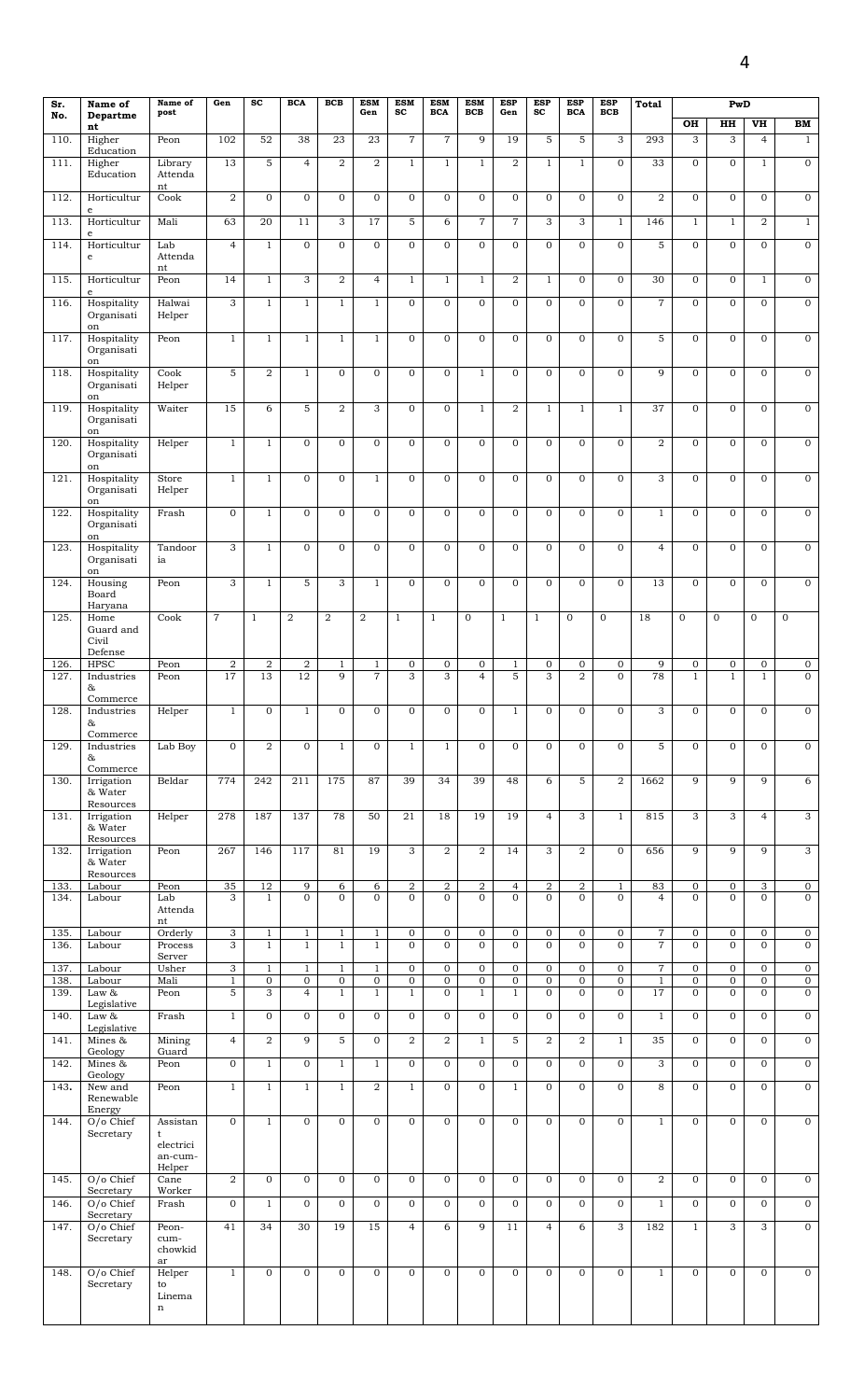| Sr.          | Name of                               | Name of                               | Gen                            | $\operatorname{sc}$              | <b>BCA</b>                    | <b>BCB</b>                     | <b>ESM</b>                       | <b>ESM</b>                     | <b>ESM</b>                     | <b>ESM</b>                    | <b>ESP</b>                     | <b>ESP</b>                       | <b>ESP</b>                     | <b>ESP</b>                       | Total              |                             | PwD                            |                                  |                                  |
|--------------|---------------------------------------|---------------------------------------|--------------------------------|----------------------------------|-------------------------------|--------------------------------|----------------------------------|--------------------------------|--------------------------------|-------------------------------|--------------------------------|----------------------------------|--------------------------------|----------------------------------|--------------------|-----------------------------|--------------------------------|----------------------------------|----------------------------------|
| No.          | Departme<br>nt                        | post                                  |                                |                                  |                               |                                | Gen                              | $_{sc}$                        | <b>BCA</b>                     | BCB                           | Gen                            | $\operatorname{sc}$              | <b>BCA</b>                     | <b>BCB</b>                       |                    | OH                          | HH                             | VH                               | ${\bf BM}$                       |
| 110.         | Higher<br>Education                   | Peon                                  | 102                            | 52                               | 38                            | 23                             | 23                               | $\overline{7}$                 | $\overline{7}$                 | 9                             | 19                             | 5                                | 5                              | 3                                | 293                | 3                           | 3                              | $\overline{4}$                   | $\mathbf{1}$                     |
| 111          | Higher<br>Education                   | Library<br>Attenda<br>nt              | 13                             | $\overline{5}$                   | $\overline{4}$                | $\overline{\mathbf{2}}$        | $\overline{2}$                   | $\mathbf{1}$                   | $\mathbf{1}$                   | $\mathbf{1}$                  | $\overline{2}$                 | $\mathbf{1}$                     | $\mathbf{1}$                   | $\overline{0}$                   | 33                 | $\mathbf{O}$                | $\mathbf{O}$                   | $\mathbf{1}$                     | $\overline{0}$                   |
| 112.         | Horticultur                           | Cook                                  | $\overline{2}$                 | $\overline{0}$                   | $\mathbf{O}$                  | $\mathbf{O}$                   | $\mathbf{0}$                     | $\mathbf{0}$                   | $\mathbf{O}$                   | $\mathbf 0$                   | $\mathbf{0}$                   | $\overline{0}$                   | $\mathbf{0}$                   | $\mathbf 0$                      | $\overline{a}$     | $\mathbf{O}$                | $\mathbf{0}$                   | $\mathbf{0}$                     | $\mathbf 0$                      |
| 113.         | $\mathbf e$<br>Horticultur<br>e       | Mali                                  | 63                             | 20                               | 11                            | 3                              | 17                               | 5                              | 6                              | $\overline{7}$                | $\overline{7}$                 | 3                                | 3                              | $1\,$                            | 146                | $\mathbf{1}$                | $\mathbf{1}$                   | 2                                | $\overline{1}$                   |
| 114          | Horticultur<br>$\mathbf e$            | Lab<br>Attenda<br>nt                  | $\overline{4}$                 | $\mathbf{1}$                     | $\overline{0}$                | $\overline{0}$                 | $\overline{0}$                   | $\mathbf 0$                    | $\mathbf 0$                    | $\overline{0}$                | $\mathbf{0}$                   | 0                                | $\overline{0}$                 | $\overline{0}$                   | $\overline{5}$     | $\mathbf 0$                 | $\mathbf{0}$                   | $\mathbf 0$                      | $\overline{0}$                   |
| 115.         | Horticultur<br>e                      | Peon                                  | 14                             | $\mathbf{1}$                     | 3                             | $\overline{2}$                 | $\overline{4}$                   | $\mathbf{1}$                   | $\mathbf{1}$                   | $1\,$                         | $\overline{2}$                 | $\mathbf{1}$                     | $\mathbf{0}$                   | $\overline{0}$                   | 30                 | $\overline{0}$              | $\mathbf 0$                    | $\mathbf{1}$                     | $\overline{0}$                   |
| 116.         | Hospitality<br>Organisati             | Halwai<br>Helper                      | $\overline{3}$                 | $\mathbf{1}$                     | $\mathbf{1}$                  | $\mathbf{1}$                   | $\overline{1}$                   | $\mathbf{0}$                   | $\overline{0}$                 | $\overline{0}$                | $\mathbf{0}$                   | $\overline{0}$                   | $\overline{0}$                 | $\overline{0}$                   | $\overline{7}$     | $\mathbf{O}$                | $\mathbf{0}$                   | $\mathbf{0}$                     | $\overline{0}$                   |
| 117.         | on<br>Hospitality<br>Organisati<br>on | Peon                                  | $\mathbf{1}$                   | $\mathbf{1}$                     | $\mathbf{1}$                  | $\mathbf{1}$                   | $1\,$                            | $\mathbf{O}$                   | $\mathbf 0$                    | $\mathbf 0$                   | $\mathbf{O}$                   | $\mathbf{O}$                     | $\mathbf{O}$                   | $\mathbf 0$                      | 5                  | $\mathbf 0$                 | $\mathbf{O}$                   | $\mathbf 0$                      | $\mathbf{O}$                     |
| 118.         | Hospitality<br>Organisati<br>on       | Cook<br>Helper                        | 5                              | $\overline{a}$                   | $\mathbf{1}$                  | $\boldsymbol{0}$               | $\mathbf 0$                      | $\mathbf{0}$                   | $\mathbf 0$                    | $1\,$                         | $\mathbf{0}$                   | $\mathbf{O}$                     | $\mathbf 0$                    | $\mathbf 0$                      | 9                  | $\mathbf 0$                 | $\overline{0}$                 | $\overline{0}$                   | $\mathbf 0$                      |
| 119.         | Hospitality<br>Organisati             | Waiter                                | 15                             | 6                                | 5                             | $\overline{\mathbf{2}}$        | 3                                | $\mathbf{0}$                   | $\mathbf 0$                    | $\mathbf{1}$                  | 2                              | $\mathbf{1}$                     | $\mathbf{1}$                   | $\mathbf{1}$                     | 37                 | $\mathbf 0$                 | $\mathbf 0$                    | 0                                | 0                                |
| 120.         | on<br>Hospitality<br>Organisati<br>on | Helper                                | $\mathbf{1}$                   | $\mathbf{1}$                     | $\mathbf{0}$                  | $\mathbf 0$                    | $\mathbf 0$                      | $\mathbf 0$                    | $\mathbf 0$                    | $\mathbf 0$                   | $\mathbf 0$                    | $\mathbf{0}$                     | $\mathbf 0$                    | $\mathbf 0$                      | $\,2$              | $\mathbf 0$                 | $\mathbf 0$                    | $\mathbf 0$                      | $\mathbf 0$                      |
| 121          | Hospitality<br>Organisati<br>on       | Store<br>Helper                       | $\mathbf{1}$                   | $\mathbf{1}$                     | $\overline{0}$                | $\mathbf 0$                    | $\mathbf{1}$                     | $\mathbf{O}$                   | $\overline{0}$                 | $\overline{0}$                | $\mathbf{0}$                   | $\overline{0}$                   | $\overline{0}$                 | $\overline{0}$                   | $\overline{3}$     | $\overline{0}$              | $\mathbf{0}$                   | $\mathbf{0}$                     | $\overline{0}$                   |
| 122.         | Hospitality<br>Organisati             | Frash                                 | $\overline{0}$                 | $1\,$                            | $\mathbf{O}$                  | $\mathbf 0$                    | $\overline{0}$                   | $\mathbf{O}$                   | $\mathbf{O}$                   | $\overline{0}$                | $\mathbf{0}$                   | $\overline{0}$                   | $\overline{0}$                 | $\overline{0}$                   | $\mathbf{1}$       | $\mathbf 0$                 | $\mathbf{0}$                   | $\mathbf{0}$                     | $\overline{0}$                   |
| 123.         | on<br>Hospitality<br>Organisati       | Tandoor<br>ia                         | 3                              | $\mathbf{1}$                     | $\mathbf{O}$                  | $\mathbf{O}$                   | $\mathbf{0}$                     | $\mathbf{0}$                   | $\mathbf{O}$                   | $\mathbf{0}$                  | $\mathbf{O}$                   | $\overline{0}$                   | $\mathbf{0}$                   | $\mathbf{O}$                     | $\overline{4}$     | $\mathbf{O}$                | $\overline{0}$                 | $\overline{0}$                   | $\mathbf 0$                      |
| 124.         | on<br>Housing<br>Board<br>Haryana     | Peon                                  | $\overline{3}$                 | $\mathbf{1}$                     | $\overline{5}$                | 3                              | $\overline{1}$                   | $\mathbf{0}$                   | $\mathbf{0}$                   | $\overline{0}$                | $\mathbf{0}$                   | $\overline{0}$                   | $\overline{0}$                 | $\overline{0}$                   | 13                 | $\mathbf{0}$                | $\mathbf{0}$                   | $\mathbf{0}$                     | $\overline{0}$                   |
| 125.         | Home<br>Guard and<br>Civil<br>Defense | Cook                                  | $\overline{7}$                 | $\mathbf{1}$                     | 2                             | $\overline{2}$                 | $\overline{2}$                   | $\mathbf{1}$                   | $\mathbf{1}$                   | $\mathbf 0$                   | $\mathbf{1}$                   | $\mathbf{1}$                     | $\mathbf{0}$                   | $\mathbf 0$                      | 18                 | $\mathbf 0$                 | $\mathbf{0}$                   | $\mathbf{0}$                     | $\mathbf 0$                      |
| 126.<br>127. | <b>HPSC</b><br>Industries             | Peon<br>Peon                          | $\sqrt{2}$<br>17               | $\overline{a}$<br>13             | $\boldsymbol{2}$<br>12        | $\mathbf{1}$<br>$\overline{9}$ | $\mathbf{1}$<br>$\overline{7}$   | $\mathbf 0$<br>3               | $\mathbf 0$<br>3               | $\mathbf 0$<br>$\overline{4}$ | $\mathbf{1}$<br>5              | $\mathbf 0$<br>$\overline{3}$    | $\mathbf 0$<br>$\overline{2}$  | $\mathbf 0$<br>$\overline{0}$    | 9<br>78            | $\mathbf 0$<br>$\mathbf{1}$ | $\overline{0}$<br>$\mathbf{1}$ | $\mathbf{0}$<br>$\mathbf{1}$     | 0<br>$\overline{0}$              |
| 128          | &<br>Commerce<br>Industries           | ${\it Helper}$                        | $\mathbf{1}$                   | 0                                | $\mathbf{1}$                  | 0                              | $\mathbf 0$                      | 0                              | $\mathbf 0$                    | $\mathbf 0$                   | $\mathbf{1}$                   | 0                                | $\mathbf 0$                    | $\mathbf 0$                      | 3                  | $\mathbf 0$                 | $\mathbf 0$                    | $\mathbf 0$                      | $\mathbf 0$                      |
|              | &<br>Commerce                         |                                       |                                |                                  |                               |                                |                                  |                                |                                |                               |                                |                                  |                                |                                  |                    |                             |                                |                                  |                                  |
| 129.         | Industries<br>&<br>Commerce           | Lab Boy                               | $\overline{0}$                 | $\overline{a}$                   | $\mathbf{0}$                  | $\mathbf{1}$                   | $\mathbf 0$                      | $\mathbf{1}$                   | $\mathbf{1}$                   | $\overline{0}$                | $\mathbf{0}$                   | $\overline{0}$                   | $\mathbf{0}$                   | $\overline{0}$                   | 5                  | $\mathbf 0$                 | $\mathbf{0}$                   | $\mathbf{0}$                     | $\overline{0}$                   |
| 130.         | Irrigation<br>& Water<br>Resources    | Beldar                                | 774                            | 242                              | 211                           | 175                            | 87                               | 39                             | 34                             | 39                            | 48                             | 6                                | 5                              | $\overline{2}$                   | 1662               | 9                           | 9                              | 9                                | 6                                |
| 131.         | Irrigation<br>& Water<br>Resources    | Helper                                | 278                            | 187                              | 137                           | 78                             | 50                               | 21                             | 18                             | 19                            | 19                             | $\overline{4}$                   | 3                              | $\mathbf{1}$                     | 815                | 3                           | 3                              | $\overline{4}$                   | $\mathfrak{S}$                   |
| 132.         | Irrigation<br>& Water<br>Resources    | Peon                                  | 267                            | 146                              | 117                           | 81                             | 19                               | 3                              | $\overline{2}$                 | $\,2$                         | 14                             | 3                                | $\overline{2}$                 | $\overline{0}$                   | 656                | $\overline{9}$              | 9                              | 9                                | $\overline{3}$                   |
| 133.         | Labour                                | Peon                                  | 35                             | $\overline{12}$                  | 9                             | 6                              | 6                                | $\overline{\mathbf{2}}$        | $\overline{a}$                 | $\overline{\mathbf{2}}$       | $\overline{a}$                 | $\overline{\mathbf{2}}$          | $\overline{2}$                 | $\mathbf{1}$                     | 83                 | $\overline{0}$              | $\overline{0}$                 | 3                                | $\overline{0}$                   |
| 134.         | Labour                                | Lab<br>Attenda<br>nt                  | 3                              | $\mathbf{1}$                     | $\overline{0}$                | $\mathbf{O}$                   | $\mathbf{0}$                     | $\mathbf{O}$                   | $\mathbf{0}$                   | $\mathbf{O}$                  | $\mathbf{O}$                   | $\overline{0}$                   | $\mathbf{0}$                   | $\mathbf{O}$                     | $\overline{4}$     | $\overline{0}$              | $\mathbf{0}$                   | $\overline{O}$                   | $\mathbf 0$                      |
| 135.         | Labour                                | Orderly                               | $\overline{3}$                 | $\mathbf{1}$                     | $\mathbf{1}$                  | $\mathbf{1}$                   | $\mathbf{1}$                     | $\overline{0}$                 | $\overline{0}$                 | $\mathbf 0$                   | $\overline{0}$                 | $\overline{0}$                   | $\overline{0}$                 | $\overline{0}$                   | $\overline{7}$     | $\overline{0}$              | $\overline{0}$                 | $\overline{0}$                   | $\overline{0}$                   |
| 136.         | Labour                                | Process<br>Server                     | 3                              | $\mathbf{1}$                     | $\mathbf{1}$                  | $\mathbf{1}$                   | $\mathbf{1}$                     | $\mathbf{0}$                   | $\mathbf{0}$                   | $\mathbf 0$                   | $\overline{0}$                 | $\overline{0}$                   | $\mathbf{0}$                   | $\overline{0}$                   | $\overline{7}$     | $\mathbf{O}$                | $\overline{0}$                 | $\overline{0}$                   | $\overline{0}$                   |
| 137.         | Labour                                | Usher                                 | 3                              | $\mathbf{1}$                     | $\mathbf{1}$                  | $\mathbf{1}$                   | $1\,$                            | $\overline{0}$                 | $\mathbf 0$                    | $\mathbf 0$                   | $\overline{0}$                 | 0                                | $\overline{0}$                 | $\overline{0}$                   | $\overline{7}$     | $\mathbf 0$                 | $\overline{0}$                 | $\overline{0}$                   | $\overline{0}$                   |
| 138.<br>139. | Labour<br>Law &                       | Mali<br>Peon                          | $\mathbf{1}$<br>$\overline{5}$ | $\overline{0}$<br>$\overline{3}$ | $\mathbf 0$<br>$\overline{4}$ | $\overline{0}$<br>$\mathbf{1}$ | $\boldsymbol{0}$<br>$\mathbf{1}$ | $\overline{0}$<br>$\mathbf{1}$ | $\overline{0}$<br>$\mathbf{0}$ | $\mathbf 0$<br>$\mathbf{1}$   | $\overline{0}$<br>$\mathbf{1}$ | $\overline{0}$<br>$\overline{0}$ | $\overline{0}$<br>$\mathbf{0}$ | $\overline{0}$<br>$\overline{0}$ | $\mathbf{1}$<br>17 | $\mathbf 0$<br>$\mathbf{0}$ | $\mathbf{0}$<br>$\overline{0}$ | $\overline{0}$<br>$\overline{0}$ | $\overline{0}$<br>$\overline{0}$ |
| 140.         | Legislative<br>Law &                  | Frash                                 | $\mathbf{1}$                   | $\overline{0}$                   | $\mathbf 0$                   | $\overline{0}$                 | $\mathbf 0$                      | $\overline{0}$                 | $\mathbf{0}$                   | $\mathbf 0$                   | $\mathbf{0}$                   | $\overline{0}$                   | $\overline{0}$                 | $\overline{0}$                   | $\mathbf{1}$       | $\mathbf{0}$                | $\overline{0}$                 | $\overline{0}$                   | $\overline{0}$                   |
| 141.         | Legislative<br>Mines &                | Mining                                | $\overline{4}$                 | $\overline{2}$                   | $\overline{9}$                | 5                              | $\mathbf{0}$                     | $\overline{2}$                 | 2                              | $\mathbf{1}$                  | 5                              | $\overline{a}$                   | $\overline{2}$                 | $\mathbf{1}$                     | 35                 | $\mathbf{0}$                | $\mathbf{0}$                   | $\mathbf{0}$                     | $\mathbf 0$                      |
| 142.         | Geology<br>Mines &                    | Guard<br>Peon                         | $\mathbf{0}$                   | $\mathbf{1}$                     | $\mathbf{O}$                  | $\mathbf{1}$                   | $\mathbf{1}$                     | $\mathbf{O}$                   | $\mathbf{0}$                   | $\mathbf 0$                   | $\overline{0}$                 | $\overline{0}$                   | $\mathbf{O}$                   | $\overline{0}$                   | 3                  | $\overline{0}$              | $\mathbf{O}$                   | $\mathbf{O}$                     | $\overline{0}$                   |
| 143.         | Geology<br>New and<br>Renewable       | Peon                                  | $\mathbf{1}$                   | $\mathbf{1}$                     | $\mathbf{1}$                  | $\mathbf{1}$                   | $\boldsymbol{2}$                 | $\mathbf{1}$                   | $\mathbf 0$                    | $\mathbf 0$                   | $\mathbf{1}$                   | $\overline{0}$                   | $\mathbf{0}$                   | $\overline{0}$                   | 8                  | $\overline{0}$              | $\mathbf{0}$                   | $\mathbf 0$                      | $\overline{0}$                   |
| 144.         | Energy<br>O/o Chief<br>Secretary      | Assistan<br>t<br>electrici            | $\overline{0}$                 | $\mathbf{1}$                     | $\mathbf{0}$                  | $\overline{0}$                 | $\overline{0}$                   | $\mathbf{0}$                   | $\mathbf{0}$                   | $\mathbf{O}$                  | $\overline{0}$                 | $\overline{0}$                   | $\overline{0}$                 | $\overline{0}$                   | $\mathbf{1}$       | $\overline{0}$              | $\mathbf{O}$                   | $\overline{O}$                   | $\overline{0}$                   |
| 145.         | O/o Chief                             | an-cum-<br>Helper<br>Cane             | 2                              | $\overline{0}$                   | $\mathbf 0$                   | $\mathbf{0}$                   | $\mathbf 0$                      | $\mathbf 0$                    | $\mathbf 0$                    | $\mathbf 0$                   | $\mathbf{0}$                   | $\overline{0}$                   | $\mathbf{0}$                   | $\overline{0}$                   | $\,2$              | $\mathbf 0$                 | $\mathbf 0$                    | $\mathbf 0$                      | $\overline{0}$                   |
| 146.         | Secretary<br>O/o Chief                | Worker<br>Frash                       | $\mathbf{0}$                   | $\mathbf{1}$                     | $\overline{0}$                | $\overline{0}$                 | $\overline{0}$                   | $\mathbf{0}$                   | $\overline{0}$                 | $\mathbf{0}$                  | $\mathbf{0}$                   | $\overline{0}$                   | $\overline{0}$                 | $\overline{0}$                   | $\mathbf{1}$       | $\overline{0}$              | $\mathbf{0}$                   | $\mathbf{0}$                     | $\overline{0}$                   |
|              | Secretary                             |                                       |                                |                                  |                               |                                |                                  |                                |                                |                               |                                |                                  |                                |                                  |                    |                             |                                |                                  |                                  |
| 147.         | O/o Chief<br>Secretary                | Peon-<br>cum-<br>chowkid<br>ar        | 41                             | 34                               | 30                            | 19                             | 15                               | $\overline{4}$                 | 6                              | $\overline{9}$                | 11                             | $\overline{4}$                   | 6                              | $\overline{3}$                   | 182                | $\mathbf{1}$                | 3                              | 3                                | $\overline{0}$                   |
| 148.         | O/o Chief<br>Secretary                | Helper<br>to<br>Linema<br>$\mathbf n$ | $\mathbf{1}$                   | $\overline{0}$                   | $\mathbf{O}$                  | $\mathbf{0}$                   | $\mathbf{0}$                     | $\overline{0}$                 | $\mathbf{O}$                   | $\mathbf{O}$                  | $\mathbf{O}$                   | $\overline{0}$                   | $\mathbf{0}$                   | $\mathbf{O}$                     | $\mathbf{1}$       | $\mathbf{O}$                | $\mathbf{0}$                   | $\overline{0}$                   | $\mathbf 0$                      |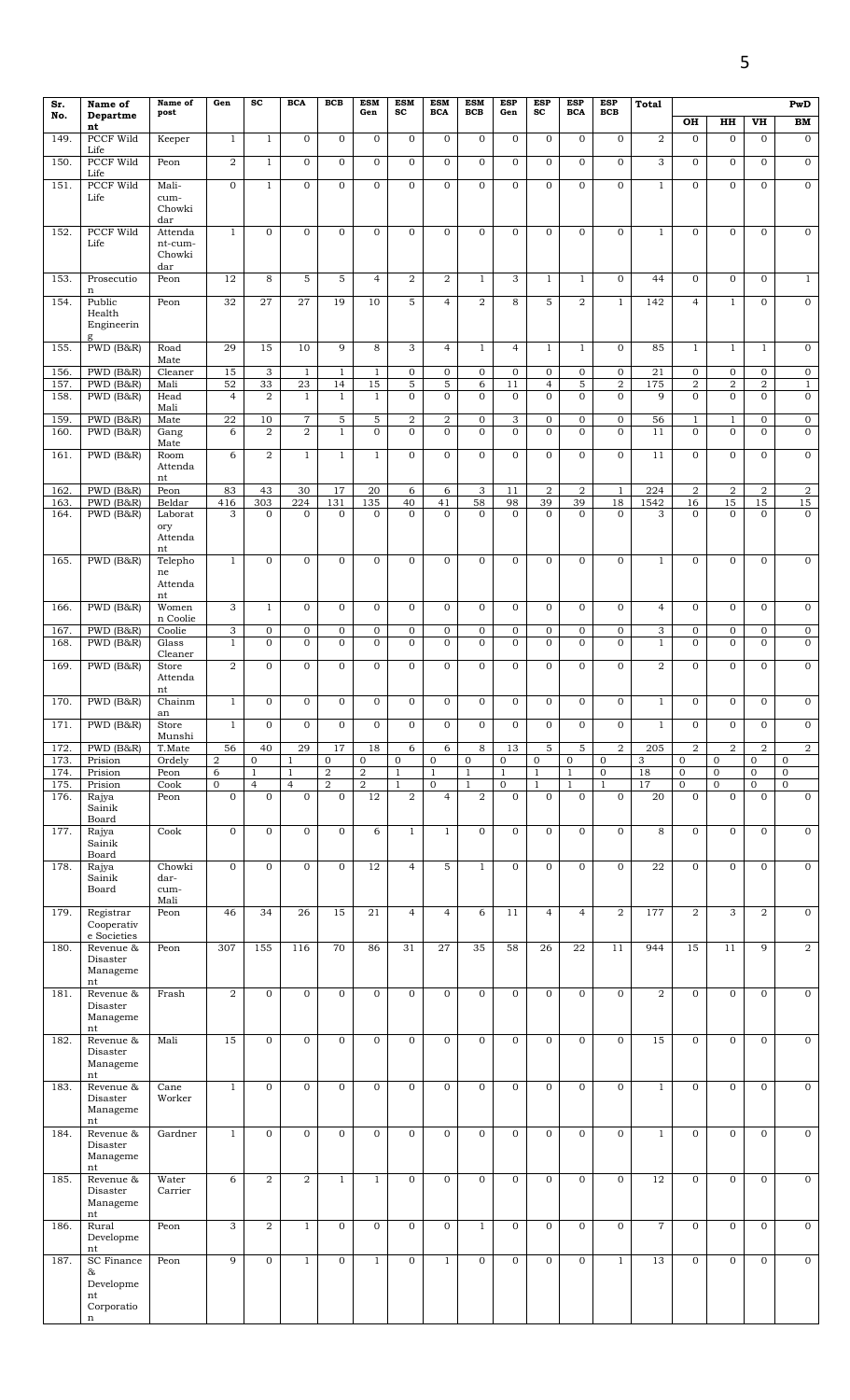| Sr.          | Name of                                  | Name of                      | Gen                            | <b>SC</b>                      | <b>BCA</b>              | <b>BCB</b>          | <b>ESM</b>                       | <b>ESM</b>                   | <b>ESM</b>                   | <b>ESM</b>            | <b>ESP</b>                   | <b>ESP</b>                       | <b>ESP</b>                   | <b>ESP</b>                    | Total                 |                                         |                                  |                                  | PwD                            |
|--------------|------------------------------------------|------------------------------|--------------------------------|--------------------------------|-------------------------|---------------------|----------------------------------|------------------------------|------------------------------|-----------------------|------------------------------|----------------------------------|------------------------------|-------------------------------|-----------------------|-----------------------------------------|----------------------------------|----------------------------------|--------------------------------|
| No.          | Departme<br>nt                           | post                         |                                |                                |                         |                     | Gen                              | sc                           | <b>BCA</b>                   | BCB                   | Gen                          | sc                               | <b>BCA</b>                   | <b>BCB</b>                    |                       | OH                                      | HH                               | VH                               | ${\bf BM}$                     |
| 149          | <b>PCCF Wild</b><br>Life                 | Keeper                       | $\mathbf{1}$                   | $\mathbf{1}$                   | $\mathbf{O}$            | $\overline{0}$      | $\mathbf{O}$                     | $\mathbf{0}$                 | $\mathbf 0$                  | $\mathbf{0}$          | $\mathbf{0}$                 | $\overline{0}$                   | $\mathbf{O}$                 | $\mathbf 0$                   | 2                     | $\mathbf{O}$                            | $\mathbf{0}$                     | $\mathbf{0}$                     | $\mathbf 0$                    |
| 150.         | PCCF Wild                                | Peon                         | $\boldsymbol{2}$               | $\mathbf{1}$                   | $\overline{0}$          | 0                   | $\overline{0}$                   | $\mathbf{0}$                 | $\mathbf 0$                  | $\overline{0}$        | $\mathbf{O}$                 | $\mathbf 0$                      | $\mathbf 0$                  | $\mathbf 0$                   | 3                     | 0                                       | $\mathbf 0$                      | $\mathbf 0$                      | $\overline{0}$                 |
| 151          | Life<br><b>PCCF Wild</b><br>Life         | Mali-<br>cum-<br>Chowki      | $\mathbf{0}$                   | $\mathbf{1}$                   | $\mathbf{O}$            | $\mathbf{O}$        | $\mathbf 0$                      | $\mathbf{0}$                 | $\mathbf{0}$                 | $\mathbf{0}$          | $\mathbf{O}$                 | $\mathbf{0}$                     | $\mathbf{O}$                 | $\mathbf{O}$                  | $\mathbf{1}$          | $\mathbf{0}$                            | $\mathbf{0}$                     | $\mathbf{0}$                     | $\overline{0}$                 |
|              |                                          | dar                          |                                |                                |                         |                     |                                  |                              |                              |                       |                              |                                  |                              |                               |                       |                                         |                                  |                                  |                                |
| 152.         | PCCF Wild<br>Life                        | Attenda<br>nt-cum-<br>Chowki | $\mathbf{1}$                   | $\mathbf{O}$                   | $\mathbf{O}$            | $\mathbf{O}$        | $\mathbf{O}$                     | $\mathbf{0}$                 | $\mathbf{0}$                 | $\mathbf{0}$          | $\mathbf{0}$                 | $\overline{O}$                   | $\mathbf{O}$                 | $\mathbf{O}$                  | $\mathbf{1}$          | $\mathbf{0}$                            | $\mathbf{0}$                     | $\mathbf{0}$                     | $\mathbf 0$                    |
| 153.         | Prosecutio                               | dar<br>Peon                  | 12                             | 8                              | 5                       | 5                   | $\overline{4}$                   | $\overline{a}$               | $\overline{2}$               | $1\,$                 | 3                            | $\mathbf{1}$                     | $\mathbf{1}$                 | $\mathbf{0}$                  | 44                    | $\mathbf{0}$                            | $\mathbf{0}$                     | $\mathbf{0}$                     | $\mathbf{1}$                   |
| 154.         | n<br>Public<br>Health<br>Engineerin<br>g | Peon                         | $\overline{32}$                | 27                             | 27                      | 19                  | 10                               | 5                            | $\overline{4}$               | $\overline{2}$        | 8                            | 5                                | $\overline{2}$               | $\mathbf{1}$                  | 142                   | $\overline{4}$                          | $\mathbf{1}$                     | $\mathbf{0}$                     | $\overline{0}$                 |
| 155.         | PWD (B&R)                                | Road<br>Mate                 | 29                             | $\overline{15}$                | 10                      | 9                   | 8                                | 3                            | $\overline{4}$               | $\mathbf{1}$          | $\overline{4}$               | $\mathbf{1}$                     | $\mathbf{1}$                 | $\mathbf{0}$                  | 85                    | $\mathbf{1}$                            | $\mathbf{1}$                     | $\mathbf{1}$                     | $\mathbf 0$                    |
| 156.         | PWD (B&R)                                | Cleaner                      | 15                             | 3                              | $\mathbf{1}$            | $\mathbf{1}$        | $\mathbf{1}$                     | $\mathbf{0}$                 | $\mathbf 0$                  | $\mathbf 0$           | $\overline{0}$               | $\overline{0}$                   | $\mathbf 0$                  | $\mathbf 0$                   | 21                    | $\mathbf 0$                             | $\overline{0}$                   | $\mathbf 0$                      | $\overline{0}$                 |
| 157.<br>158. | PWD (B&R)<br>PWD (B&R)                   | Mali<br>Head                 | 52<br>$\overline{4}$           | 33<br>$\overline{2}$           | 23<br>$\mathbf{1}$      | 14<br>$\mathbf{1}$  | 15<br>$\mathbf{1}$               | 5<br>$\overline{0}$          | 5<br>$\mathbf{0}$            | 6<br>$\mathbf{O}$     | 11<br>$\mathbf{0}$           | $\overline{4}$<br>$\overline{0}$ | 5<br>$\mathbf 0$             | $\overline{2}$<br>$\mathbf 0$ | 175<br>9              | $\overline{\mathbf{2}}$<br>$\mathbf{0}$ | $\overline{a}$<br>$\overline{0}$ | $\overline{a}$<br>$\overline{0}$ | $\mathbf{1}$<br>$\overline{0}$ |
| 159          | $\overline{\text{PWD}}$ (B&R)            | Mali<br>Mate                 | $\overline{22}$                | 10                             | $\,7$                   | 5                   | 5                                | $\overline{2}$               | $\overline{2}$               | $\mathbf 0$           | 3                            | 0                                | $\overline{0}$               | $\mathbf 0$                   | 56                    | $\mathbf{1}$                            | $\mathbf{1}$                     | $\overline{0}$                   | $\overline{0}$                 |
| 160.         | PWD (B&R)                                | Gang<br>Mate                 | 6                              | $\overline{2}$                 | $\overline{2}$          | $\mathbf{1}$        | $\mathbf{O}$                     | $\Omega$                     | $\mathbf{0}$                 | $\mathbf{0}$          | $\Omega$                     | $\overline{0}$                   | $\mathbf{O}$                 | $\mathbf{0}$                  | 11                    | $\Omega$                                | $\mathbf{0}$                     | $\overline{0}$                   | $\mathbf 0$                    |
| 161          | PWD (B&R)                                | Room<br>Attenda<br>nt        | 6                              | $\overline{a}$                 | $\mathbf{1}$            | $\mathbf{1}$        | $1\,$                            | $\overline{0}$               | $\mathbf{0}$                 | $\mathbf 0$           | $\overline{0}$               | $\overline{0}$                   | $\mathbf 0$                  | $\mathbf 0$                   | 11                    | $\mathbf{0}$                            | $\mathbf 0$                      | $\mathbf 0$                      | $\overline{0}$                 |
| 162<br>163   | PWD (B&R)<br>PWD (B&R)                   | Peon<br>Beldar               | 83<br>416                      | 43<br>303                      | 30<br>224               | 17<br>131           | $\overline{20}$<br>135           | 6<br>40                      | 6<br>41                      | 3<br>58               | 11<br>98                     | $\overline{a}$<br>39             | $\,2$<br>$\overline{39}$     | $\mathbf{1}$<br>18            | 224<br>1542           | $\overline{2}$<br>16                    | $\overline{a}$<br>15             | $\overline{2}$<br>15             | $\overline{\mathbf{c}}$<br>15  |
| 164.         | PWD (B&R)                                | Laborat<br>ory               | 3                              | $\overline{0}$                 | $\Omega$                | $\overline{0}$      | $\mathbf 0$                      | $\Omega$                     | $\Omega$                     | $\mathbf{0}$          | $\Omega$                     | $\mathbf{0}$                     | $\mathbf{O}$                 | $\mathbf{0}$                  | 3                     | $\Omega$                                | $\Omega$                         | $\mathbf{0}$                     | $\overline{0}$                 |
|              |                                          | Attenda<br>nt                |                                |                                |                         |                     |                                  |                              |                              |                       |                              |                                  |                              |                               |                       |                                         |                                  |                                  |                                |
| 165.         | PWD (B&R)                                | Telepho<br>ne<br>Attenda     | $\mathbf{1}$                   | $\mathbf{0}$                   | $\overline{0}$          | 0                   | $\mathbf 0$                      | $\mathbf{0}$                 | $\mathbf{0}$                 | $\mathbf 0$           | $\mathbf{0}$                 | $\mathbf{0}$                     | $\mathbf 0$                  | $\mathbf 0$                   | $\mathbf{1}$          | $\mathbf{0}$                            | $\overline{0}$                   | $\mathbf{0}$                     | $\mathbf 0$                    |
| 166.         | PWD (B&R)                                | nt<br>Women                  | 3                              | $\mathbf{1}$                   | $\mathbf{O}$            | $\overline{0}$      | $\mathbf{O}$                     | $\overline{0}$               | $\mathbf{0}$                 | $\mathbf{O}$          | $\mathbf{0}$                 | $\overline{0}$                   | $\mathbf{O}$                 | $\mathbf{0}$                  | $\overline{4}$        | $\overline{O}$                          | $\mathbf{0}$                     | $\mathbf{0}$                     | $\mathbf 0$                    |
| 167.         | PWD (B&R)                                | n Coolie<br>Coolie           | $\overline{3}$                 | $\overline{0}$                 | $\mathbf 0$             | $\overline{0}$      | $\mathbf 0$                      | $\overline{0}$               | $\mathbf 0$                  | $\mathbf 0$           | $\overline{0}$               | $\overline{0}$                   | $\mathbf 0$                  | $\boldsymbol{0}$              | 3                     | $\mathbf 0$                             | $\overline{0}$                   | $\mathbf 0$                      | $\overline{0}$                 |
| 168.         | PWD (B&R)                                | Glass<br>Cleaner             | $\mathbf{1}$                   | $\overline{0}$                 | $\mathbf{O}$            | $\overline{0}$      | $\mathbf 0$                      | $\mathbf{0}$                 | $\mathbf{0}$                 | $\mathbf 0$           | $\mathbf{0}$                 | $\overline{0}$                   | $\mathbf{O}$                 | $\mathbf 0$                   | $\mathbf{1}$          | $\overline{O}$                          | $\overline{0}$                   | $\overline{0}$                   | $\overline{0}$                 |
| 169          | PWD (B&R)                                | Store<br>Attenda             | $\overline{2}$                 | $\mathbf{0}$                   | $\mathbf{O}$            | $\overline{0}$      | $\mathbf 0$                      | $\overline{0}$               | $\mathbf{0}$                 | $\mathbf{O}$          | $\mathbf{O}$                 | $\overline{O}$                   | $\mathbf{O}$                 | $\mathbf 0$                   | $\overline{2}$        | $\overline{O}$                          | $\mathbf{0}$                     | $\mathbf{0}$                     | $\overline{0}$                 |
| 170.         | PWD (B&R)                                | nt<br>Chainm<br>an           | $\mathbf{1}$                   | 0                              | $\mathbf{O}$            | 0                   | $\mathbf 0$                      | $\overline{0}$               | $\mathbf 0$                  | $\mathbf 0$           | $\mathbf{O}$                 | 0                                | $\mathbf 0$                  | $\mathbf 0$                   | $\mathbf{1}$          | 0                                       | $\mathbf{O}$                     | $\mathbf{0}$                     | $\mathbf 0$                    |
| 171.         | PWD (B&R)                                | Store                        | $\mathbf{1}$                   | $\overline{0}$                 | $\mathbf 0$             | $\overline{0}$      | $\mathbf 0$                      | $\overline{0}$               | $\mathbf 0$                  | $\mathbf{O}$          | $\mathbf{O}$                 | $\overline{O}$                   | $\mathbf 0$                  | $\mathbf 0$                   | $\mathbf{1}$          | 0                                       | $\mathbf{0}$                     | $\overline{0}$                   | $\overline{0}$                 |
| 172.         | PWD (B&R)                                | Munshi<br>T.Mate             | 56                             | 40                             | 29                      | 17                  | 18                               | 6                            | 6                            | 8                     | 13                           | $5\overline{)}$                  | 5                            | $\overline{a}$                | 205                   | $\overline{2}$                          | $\overline{2}$                   | $\overline{2}$                   | $\overline{2}$                 |
| 173.         | Prision                                  | Ordely                       | $\overline{2}$                 | $\mathbf 0$                    | $\mathbf{1}$            | $\mathbf 0$         | $\mathbf 0$                      | $\mathbf 0$                  | $\mathbf{0}$                 | $\mathbf 0$           | $\mathbf 0$                  | $\overline{0}$                   | $\mathbf{0}$                 | $\mathbf 0$                   | 3                     | $\mathbf{0}$                            | $\mathbf 0$                      | $\mathbf 0$                      | $\overline{0}$                 |
| 174.<br>175. | Prision<br>Prision                       | Peon<br>Cook                 | $\overline{6}$<br>$\mathbf{0}$ | $\mathbf{1}$<br>$\overline{4}$ | $1\,$<br>$\overline{4}$ | 2<br>$\overline{a}$ | $\overline{2}$<br>$\overline{2}$ | $\mathbf{1}$<br>$\mathbf{1}$ | $\mathbf{1}$<br>$\mathbf{0}$ | $1\,$<br>$\mathbf{1}$ | $\mathbf{1}$<br>$\mathbf{0}$ | $\mathbf{1}$<br>$\mathbf{1}$     | $\mathbf{1}$<br>$\mathbf{1}$ | $\mathbf 0$<br>$\mathbf{1}$   | $\overline{18}$<br>17 | $\mathbf 0$<br>$\mathbf 0$              | $\mathbf 0$<br>$\mathbf{0}$      | $\mathbf{0}$<br>$\mathbf{0}$     | $\mathbf 0$<br>$\mathbf{0}$    |
| 176.         | Rajya<br>Sainik<br>Board                 | Peon                         | $\mathbf 0$                    | $\overline{0}$                 | $\mathbf{O}$            | 0                   | 12                               | $\overline{2}$               | $\overline{4}$               | $\overline{a}$        | $\overline{0}$               | $\overline{0}$                   | $\mathbf{O}$                 | $\mathbf{O}$                  | 20                    | $\overline{O}$                          | $\mathbf{0}$                     | $\overline{0}$                   | $\overline{0}$                 |
| 177.         | Rajya<br>Sainik<br>Board                 | Cook                         | $\mathbf 0$                    | $\overline{0}$                 | $\mathbf{O}$            | $\overline{0}$      | 6                                | $\mathbf{1}$                 | $\mathbf{1}$                 | $\mathbf{0}$          | $\overline{0}$               | $\overline{0}$                   | $\mathbf 0$                  | $\mathbf 0$                   | 8                     | $\mathbf{0}$                            | $\overline{0}$                   | $\overline{0}$                   | $\overline{0}$                 |
| 178.         | Rajya<br>Sainik<br>Board                 | Chowki<br>dar-<br>cum-       | $\mathbf{0}$                   | $\mathbf 0$                    | $\mathbf 0$             | $\overline{0}$      | 12                               | $\overline{4}$               | 5                            | $\mathbf{1}$          | $\overline{0}$               | $\overline{0}$                   | $\mathbf 0$                  | $\mathbf 0$                   | 22                    | $\mathbf 0$                             | $\mathbf{0}$                     | $\overline{0}$                   | $\mathbf 0$                    |
| 179.         | Registrar<br>Cooperativ                  | Mali<br>Peon                 | 46                             | 34                             | 26                      | 15                  | 21                               | $\overline{4}$               | $\overline{4}$               | 6                     | 11                           | $\overline{4}$                   | $\overline{4}$               | $\overline{2}$                | 177                   | $\overline{2}$                          | 3                                | $\overline{2}$                   | $\overline{0}$                 |
| 180.         | e Societies<br>Revenue &<br>Disaster     | Peon                         | 307                            | 155                            | 116                     | 70                  | 86                               | 31                           | 27                           | 35                    | 58                           | 26                               | 22                           | 11                            | 944                   | 15                                      | 11                               | 9                                | $\overline{2}$                 |
| 181.         | Manageme<br>nt<br>Revenue &              | Frash                        | $\overline{2}$                 | $\mathbf{0}$                   | $\overline{0}$          | $\overline{0}$      | $\mathbf 0$                      | $\overline{0}$               | $\mathbf{0}$                 | $\mathbf{0}$          | $\mathbf{0}$                 | $\overline{0}$                   | $\mathbf 0$                  | $\mathbf 0$                   | $\overline{2}$        | $\mathbf{0}$                            | $\overline{0}$                   | $\overline{0}$                   | $\overline{0}$                 |
|              | Disaster<br>Manageme<br>nt               |                              |                                |                                |                         |                     |                                  |                              |                              |                       |                              |                                  |                              |                               |                       |                                         |                                  |                                  |                                |
| 182.         | Revenue &<br>Disaster<br>Manageme<br>nt  | Mali                         | 15                             | $\mathbf{O}$                   | $\mathbf{O}$            | $\overline{0}$      | $\mathbf{O}$                     | $\mathbf{0}$                 | $\mathbf{0}$                 | $\mathbf{O}$          | $\mathbf{O}$                 | $\overline{0}$                   | $\mathbf{O}$                 | $\mathbf{O}$                  | 15                    | $\mathbf{O}$                            | $\mathbf{0}$                     | $\mathbf{0}$                     | $\mathbf 0$                    |
| 183.         | Revenue &<br>Disaster<br>Manageme<br>nt  | Cane<br>Worker               | $1\,$                          | $\mathbf{O}$                   | $\mathbf{O}$            | $\mathbf 0$         | $\mathbf 0$                      | $\mathbf{0}$                 | $\mathbf 0$                  | $\mathbf{O}$          | $\mathbf{0}$                 | $\overline{0}$                   | $\mathbf 0$                  | $\mathbf{O}$                  | $\mathbf{1}$          | $\overline{0}$                          | $\mathbf{0}$                     | $\mathbf{O}$                     | $\mathbf 0$                    |
| 184.         | Revenue &<br>Disaster<br>Manageme        | Gardner                      | $\mathbf{1}$                   | $\mathbf{0}$                   | $\mathbf 0$             | $\overline{0}$      | $\mathbf 0$                      | $\overline{0}$               | $\mathbf{0}$                 | $\mathbf 0$           | $\overline{0}$               | $\overline{0}$                   | $\mathbf 0$                  | $\mathbf 0$                   | $\mathbf{1}$          | $\mathbf 0$                             | $\mathbf{0}$                     | $\overline{0}$                   | $\boldsymbol{0}$               |
| 185.         | nt<br>Revenue &<br>Disaster<br>Manageme  | Water<br>Carrier             | 6                              | $\overline{a}$                 | 2                       | $\mathbf{1}$        | $\mathbf{1}$                     | $\overline{0}$               | $\mathbf{0}$                 | $\mathbf{0}$          | $\overline{0}$               | $\overline{0}$                   | $\mathbf{O}$                 | $\mathbf{0}$                  | $\overline{12}$       | $\mathbf{0}$                            | $\mathbf{0}$                     | $\mathbf{0}$                     | $\overline{0}$                 |
| 186.         | nt<br>Rural<br>Developme                 | Peon                         | 3                              | $\overline{2}$                 | $\mathbf{1}$            | $\overline{0}$      | $\mathbf{O}$                     | $\overline{0}$               | $\mathbf 0$                  | $\mathbf{1}$          | $\mathbf{0}$                 | $\overline{0}$                   | $\mathbf 0$                  | $\mathbf 0$                   | $\overline{7}$        | $\mathbf{0}$                            | $\mathbf{0}$                     | $\mathbf{0}$                     | $\overline{0}$                 |
| 187.         | nt<br>SC Finance                         | Peon                         | 9                              | $\overline{0}$                 | $\mathbf{1}$            | 0                   | $\mathbf{1}$                     | $\overline{0}$               | $\mathbf{1}$                 | $\mathbf{0}$          | $\overline{0}$               | $\mathbf{0}$                     | $\mathbf 0$                  | $\mathbf{1}$                  | 13                    | $\mathbf{0}$                            | $\overline{0}$                   | $\overline{0}$                   | $\overline{0}$                 |
|              | &<br>Developme<br>nt<br>Corporatio<br>n  |                              |                                |                                |                         |                     |                                  |                              |                              |                       |                              |                                  |                              |                               |                       |                                         |                                  |                                  |                                |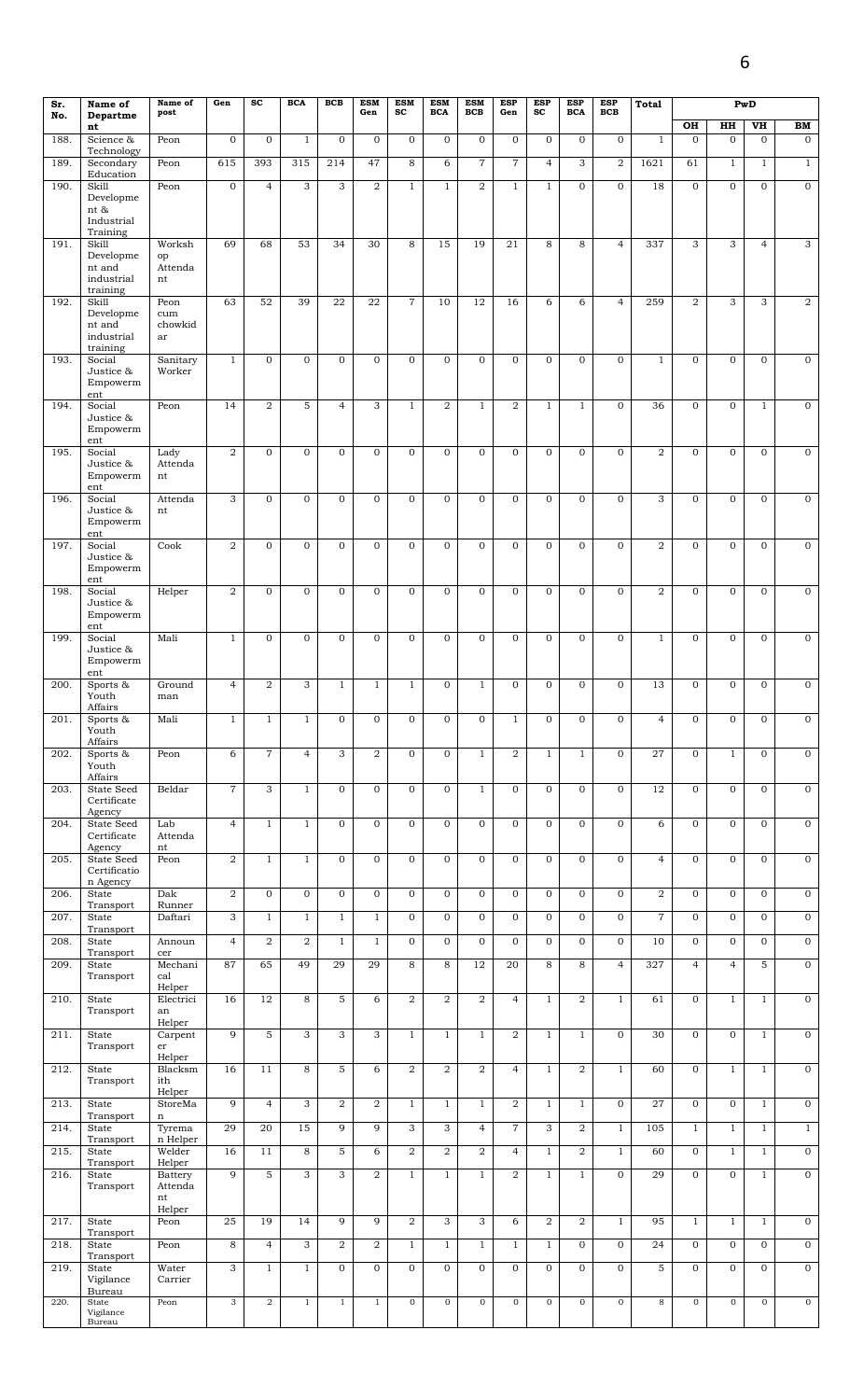| Sr.<br>No.   | Name of<br>Departme                               | Name of<br>post                    | Gen                 | $\operatorname{sc}$ | <b>BCA</b>                     | <b>BCB</b>        | <b>ESM</b><br>Gen              | <b>ESM</b><br>$\operatorname{sc}$ | <b>ESM</b><br><b>BCA</b>   | <b>ESM</b><br><b>BCB</b>     | <b>ESP</b><br>Gen              | <b>ESP</b><br>$\mathbf{sc}$  | <b>ESP</b><br><b>BCA</b>     | <b>ESP</b><br><b>BCB</b>     | Total          |                              |                              | PwD                          |                            |
|--------------|---------------------------------------------------|------------------------------------|---------------------|---------------------|--------------------------------|-------------------|--------------------------------|-----------------------------------|----------------------------|------------------------------|--------------------------------|------------------------------|------------------------------|------------------------------|----------------|------------------------------|------------------------------|------------------------------|----------------------------|
| 188.         | nt<br>Science &                                   | Peon                               | $\mathbf 0$         | $\mathbf{O}$        | $\mathbf{1}$                   | $\mathbf{O}$      | $\mathbf{0}$                   | $\mathbf{O}$                      | $\overline{0}$             | $\mathbf{0}$                 | $\mathbf{0}$                   | $\mathbf{0}$                 | $\mathbf{O}$                 | $\mathbf{O}$                 | $\mathbf{1}$   | OH<br>$\Omega$               | HH<br>$\mathbf 0$            | VH<br>$\mathbf{O}$           | BM<br>$\mathbf{0}$         |
| 189.         | Technology<br>Secondary                           | Peon                               | 615                 | 393                 | 315                            | 214               | 47                             | 8                                 | 6                          | $\overline{7}$               | $\overline{7}$                 | $\overline{4}$               | $\overline{3}$               | $\overline{2}$               | 1621           | 61                           | $\mathbf{1}$                 | $\mathbf{1}$                 | $\mathbf{1}$               |
| 190.         | Education<br>Skill                                | Peon                               | $\mathbf{0}$        | $\overline{4}$      | 3                              | 3                 | $\overline{2}$                 | $\mathbf{1}$                      | $\mathbf{1}$               | $\overline{2}$               | $\mathbf{1}$                   | $\mathbf{1}$                 | $\mathbf{0}$                 | $\mathbf{O}$                 | 18             | $\overline{0}$               | $\mathbf{0}$                 | $\mathbf{0}$                 | $\overline{0}$             |
|              | Developme<br>nt &                                 |                                    |                     |                     |                                |                   |                                |                                   |                            |                              |                                |                              |                              |                              |                |                              |                              |                              |                            |
|              | Industrial<br>Training                            |                                    |                     |                     |                                |                   |                                |                                   |                            |                              |                                |                              |                              |                              |                |                              |                              |                              |                            |
| 191.         | Skill<br>Developme                                | Worksh<br>op                       | 69                  | 68                  | 53                             | 34                | 30                             | 8                                 | 15                         | 19                           | 21                             | 8                            | 8                            | $\overline{4}$               | 337            | 3                            | 3                            | $\overline{4}$               | 3                          |
|              | nt and<br>industrial<br>training                  | Attenda<br>nt                      |                     |                     |                                |                   |                                |                                   |                            |                              |                                |                              |                              |                              |                |                              |                              |                              |                            |
| 192.         | Skill<br>Developme                                | Peon<br>cum                        | 63                  | 52                  | 39                             | 22                | 22                             | $\overline{7}$                    | 10                         | 12                           | 16                             | 6                            | 6                            | $\overline{4}$               | 259            | $\overline{2}$               | 3                            | 3                            | 2                          |
|              | nt and<br>industrial<br>training                  | chowkid<br>ar                      |                     |                     |                                |                   |                                |                                   |                            |                              |                                |                              |                              |                              |                |                              |                              |                              |                            |
| 193.         | Social<br>Justice &<br>Empowerm<br>ent            | Sanitary<br>Worker                 | $\mathbf{1}$        | $\overline{0}$      | $\overline{0}$                 | $\mathbf 0$       | $\mathbf{0}$                   | $\mathbf{0}$                      | $\overline{0}$             | $\mathbf{0}$                 | $\overline{0}$                 | $\mathbf{0}$                 | $\mathbf{0}$                 | $\mathbf{O}$                 | $\mathbf{1}$   | $\overline{0}$               | $\mathbf{0}$                 | $\mathbf{0}$                 | $\mathbf 0$                |
| 194.         | Social<br>Justice &<br>Empowerm                   | Peon                               | 14                  | $\overline{a}$      | 5                              | $\overline{4}$    | 3                              | $\mathbf{1}$                      | $\overline{2}$             | $\mathbf{1}$                 | $\overline{a}$                 | $\mathbf{1}$                 | $\mathbf{1}$                 | $\mathbf{O}$                 | 36             | $\overline{0}$               | $\mathbf{0}$                 | $\mathbf{1}$                 | $\mathbf 0$                |
| 195.         | ent<br>Social                                     | Lady                               | $\overline{2}$      | $\mathbf 0$         | $\mathbf{0}$                   | $\mathbf 0$       | $\mathbf{O}$                   | $\mathbf{O}$                      | $\mathbf 0$                | $\mathbf{O}$                 | $\mathbf{O}$                   | $\mathbf{0}$                 | $\mathbf 0$                  | $\mathbf{O}$                 | $\overline{2}$ | $\mathbf{O}$                 | $\mathbf{O}$                 | $\mathbf{0}$                 | $\mathbf 0$                |
|              | Justice &<br>Empowerm<br>ent                      | Attenda<br>nt                      |                     |                     |                                |                   |                                |                                   |                            |                              |                                |                              |                              |                              |                |                              |                              |                              |                            |
| 196.         | Social<br>Justice &<br>Empowerm                   | Attenda<br>nt                      | 3                   | $\mathbf{O}$        | $\mathbf{0}$                   | $\mathbf{O}$      | $\mathbf{0}$                   | $\mathbf{O}$                      | $\mathbf{0}$               | $\mathbf{0}$                 | $\mathbf{O}$                   | $\mathbf{0}$                 | $\mathbf{O}$                 | $\mathbf{O}$                 | 3              | $\mathbf{O}$                 | $\mathbf{0}$                 | $\mathbf{0}$                 | $\mathbf{0}$               |
| 197.         | ent<br>Social<br>Justice &<br>Empowerm            | Cook                               | $\boldsymbol{2}$    | $\overline{0}$      | $\mathbf{0}$                   | $\mathbf{0}$      | $\mathbf{0}$                   | $\mathbf{O}$                      | $\mathbf{0}$               | $\mathbf{0}$                 | $\mathbf{0}$                   | $\mathbf{0}$                 | $\mathbf{0}$                 | $\mathbf{O}$                 | $\overline{2}$ | $\mathbf{O}$                 | $\mathbf{0}$                 | $\mathbf{0}$                 | $\mathbf{0}$               |
| 198.         | ent<br>Social<br>Justice &                        | Helper                             | $\boldsymbol{2}$    | $\mathbf{O}$        | $\mathbf{0}$                   | $\mathbf 0$       | $\mathbf{0}$                   | $\mathbf{O}$                      | $\mathbf 0$                | $\mathbf{0}$                 | $\overline{0}$                 | $\mathbf{0}$                 | $\mathbf{O}$                 | $\mathbf{O}$                 | $\overline{2}$ | $\mathbf{O}$                 | $\mathbf{0}$                 | $\mathbf{0}$                 | $\mathbf 0$                |
| 199.         | Empowerm<br>ent<br>Social                         | Mali                               | $\mathbf{1}$        | $\overline{0}$      | $\overline{0}$                 | $\mathbf{O}$      | $\overline{0}$                 | $\mathbf{O}$                      | $\mathbf 0$                | $\overline{0}$               | $\overline{0}$                 | $\mathbf{0}$                 | $\overline{0}$               | $\overline{0}$               | $\mathbf{1}$   | $\mathbf{O}$                 | $\overline{0}$               | $\overline{0}$               | $\overline{0}$             |
|              | Justice &<br>Empowerm<br>ent                      |                                    |                     |                     |                                |                   |                                |                                   |                            |                              |                                |                              |                              |                              |                |                              |                              |                              |                            |
| 200.         | Sports &<br>Youth<br>Affairs                      | Ground<br>man                      | $\overline{4}$      | $\overline{2}$      | 3                              | $\mathbf{1}$      | $\mathbf{1}$                   | $\mathbf{1}$                      | $\overline{0}$             | $\mathbf{1}$                 | $\mathbf{0}$                   | $\mathbf{0}$                 | $\mathbf{O}$                 | $\mathbf{O}$                 | 13             | $\overline{0}$               | $\mathbf{0}$                 | $\overline{0}$               | $\mathbf 0$                |
| 201.         | Sports &<br>Youth<br>Affairs                      | Mali                               | 1                   | 1                   | 1                              | 0                 | 0                              | 0                                 | 0                          | 0                            | 1                              | 0                            | 0                            | 0                            | 4              | 0                            | 0                            | 0                            | 0                          |
| 202.<br>203. | Sports &<br>Youth<br>Affairs<br><b>State Seed</b> | Peon<br>Beldar                     | 6<br>$\overline{7}$ | $\overline{7}$<br>3 | $\overline{4}$<br>$\mathbf{1}$ | 3<br>$\mathbf{0}$ | $\overline{2}$<br>$\mathbf{0}$ | $\mathbf{O}$<br>$\overline{0}$    | $\mathbf 0$<br>$\mathbf 0$ | $\mathbf{1}$<br>$\mathbf{1}$ | $\overline{a}$<br>$\mathbf{0}$ | $\mathbf{1}$<br>$\mathbf{0}$ | $\mathbf{1}$<br>$\mathbf{O}$ | $\mathbf{O}$<br>$\mathbf{O}$ | 27<br>12       | $\mathbf{O}$<br>$\mathbf{0}$ | $\mathbf{1}$<br>$\mathbf{0}$ | $\mathbf{0}$<br>$\mathbf{0}$ | $\mathbf 0$<br>$\mathbf 0$ |
| 204.         | Certificate<br>Agency<br>State Seed               | Lab                                | $\overline{4}$      | $\mathbf{1}$        | $\mathbf{1}$                   | $\overline{0}$    | $\mathbf{0}$                   | $\mathbf{0}$                      | $\overline{0}$             | $\mathbf{0}$                 | $\mathbf{0}$                   | $\overline{0}$               | $\mathbf{0}$                 | $\overline{0}$               | 6              | $\overline{0}$               | $\overline{0}$               | $\overline{0}$               | $\mathbf{0}$               |
| 205.         | Certificate<br>Agency<br>State Seed               | Attenda<br>nt<br>Peon              | $\overline{2}$      | $\mathbf{1}$        | $\mathbf{1}$                   | $\mathbf{O}$      | $\overline{0}$                 | $\mathbf{O}$                      | $\mathbf{0}$               | $\overline{0}$               | $\overline{0}$                 | $\mathbf{0}$                 | $\overline{0}$               | $\overline{0}$               | $\overline{4}$ | $\mathbf{O}$                 | $\overline{0}$               | $\overline{0}$               | $\mathbf{0}$               |
|              | Certificatio<br>n Agency                          |                                    |                     |                     |                                |                   |                                |                                   |                            |                              |                                |                              |                              |                              |                |                              |                              |                              |                            |
| 206.         | State<br>Transport                                | Dak<br>Runner                      | $\boldsymbol{2}$    | $\overline{0}$      | $\overline{0}$                 | $\overline{0}$    | $\mathbf{0}$                   | $\mathbf{0}$                      | $\overline{0}$             | $\mathbf{0}$                 | $\mathbf{0}$                   | $\mathbf{0}$                 | $\mathbf{O}$                 | $\mathbf{O}$                 | $\overline{a}$ | $\overline{0}$               | $\mathbf{0}$                 | $\mathbf{0}$                 | $\mathbf 0$                |
| 207.         | State<br>Transport                                | Daftari                            | 3                   | $\mathbf{1}$        | $\mathbf{1}$                   | $\mathbf{1}$      | $\mathbf{1}$                   | $\overline{0}$                    | $\mathbf{0}$               | $\mathbf{0}$                 | $\overline{0}$                 | $\overline{0}$               | $\mathbf 0$                  | $\mathbf{O}$                 | $\overline{7}$ | $\mathbf{0}$                 | $\mathbf 0$                  | $\mathbf{0}$                 | $\mathbf 0$                |
| 208.         | State<br>Transport                                | Announ<br>cer                      | $\overline{4}$      | $\overline{2}$      | 2                              | $\mathbf{1}$      | $\mathbf{1}$                   | $\mathbf{0}$                      | $\mathbf{0}$               | $\mathbf{0}$                 | $\Omega$                       | $\mathbf{0}$                 | $\mathbf{0}$                 | $\mathbf{O}$                 | 10             | $\overline{0}$               | $\overline{0}$               | $\mathbf{0}$                 | $\mathbf{0}$               |
| 209.         | State<br>Transport                                | Mechani<br>cal<br>Helper           | 87                  | 65                  | 49                             | 29                | 29                             | 8                                 | 8                          | 12                           | 20                             | 8                            | 8                            | $\overline{4}$               | 327            | $\overline{4}$               | $\overline{4}$               | 5                            | $\overline{0}$             |
| 210.         | <b>State</b><br>Transport                         | Electrici<br>an<br>Helper          | 16                  | 12                  | 8                              | 5                 | 6                              | 2                                 | $\overline{2}$             | $\overline{2}$               | $\overline{4}$                 | $\mathbf{1}$                 | $\overline{2}$               | $\mathbf{1}$                 | 61             | $\mathbf{0}$                 | $\mathbf{1}$                 | $\mathbf{1}$                 | $\mathbf{0}$               |
| 211.         | State<br>Transport                                | Carpent<br>er                      | 9                   | 5                   | 3                              | 3                 | 3                              | $\mathbf{1}$                      | $\mathbf{1}$               | $\mathbf{1}$                 | $\overline{2}$                 | $\mathbf{1}$                 | $\mathbf{1}$                 | $\mathbf 0$                  | 30             | $\mathbf{0}$                 | $\mathbf{0}$                 | $\mathbf{1}$                 | $\mathbf 0$                |
| 212.         | State<br>Transport                                | Helper<br>Blacksm<br>ith<br>Helper | 16                  | 11                  | 8                              | 5                 | 6                              | $\overline{a}$                    | $\boldsymbol{2}$           | $\overline{2}$               | $\overline{4}$                 | $\mathbf{1}$                 | $\overline{2}$               | $\mathbf{1}$                 | 60             | $\mathbf{0}$                 | $\mathbf{1}$                 | $\mathbf{1}$                 | $\mathbf 0$                |
| 213.         | State<br>Transport                                | StoreMa<br>$\mathbf n$             | 9                   | $\overline{4}$      | 3                              | $\overline{2}$    | $\overline{2}$                 | $\mathbf 1$                       | $\mathbf{1}$               | $\mathbf{1}$                 | $\overline{2}$                 | $\mathbf{1}$                 | $\mathbf{1}$                 | $\mathbf{O}$                 | 27             | $\mathbf{0}$                 | $\mathbf{0}$                 | $\mathbf{1}$                 | $\mathbf 0$                |
| 214.         | State<br>Transport                                | Tyrema<br>n Helper                 | 29                  | 20                  | 15                             | 9                 | $\overline{9}$                 | 3                                 | 3                          | $\overline{4}$               | $\overline{7}$                 | 3                            | $\overline{2}$               | $\mathbf{1}$                 | 105            | $\mathbf{1}$                 | $\mathbf{1}$                 | $\mathbf{1}$                 | $\mathbf{1}$               |
| 215.         | State<br>Transport                                | Welder<br>Helper                   | 16                  | 11                  | 8                              | 5                 | 6                              | $\overline{2}$                    | $\overline{a}$             | $\overline{2}$               | $\overline{4}$                 | $\mathbf{1}$                 | $\overline{2}$               | $\mathbf{1}$                 | 60             | $\overline{0}$               | $\mathbf{1}$                 | $\mathbf{1}$                 | $\mathbf 0$                |
| 216.         | State<br>Transport                                | Battery<br>Attenda<br>nt<br>Helper | 9                   | 5                   | 3                              | 3                 | $\overline{2}$                 | $\mathbf{1}$                      | $\mathbf{1}$               | $\mathbf{1}$                 | $\overline{2}$                 | $\mathbf{1}$                 | $\mathbf{1}$                 | $\Omega$                     | 29             | $\Omega$                     | $\mathbf{0}$                 | $\mathbf{1}$                 | $\mathbf{0}$               |
| 217.         | State<br>Transport                                | Peon                               | 25                  | 19                  | 14                             | 9                 | $\overline{9}$                 | 2                                 | 3                          | 3                            | 6                              | $\overline{2}$               | $\overline{2}$               | $\mathbf{1}$                 | 95             | $\mathbf{1}$                 | $\mathbf{1}$                 | $\mathbf{1}$                 | $\mathbf 0$                |
| 218.         | State<br>Transport                                | Peon                               | 8                   | $\overline{4}$      | 3                              | $\overline{a}$    | $\overline{2}$                 | $\mathbf{1}$                      | $\mathbf{1}$               | $\mathbf{1}$                 | $\mathbf{1}$                   | $\mathbf{1}$                 | $\mathbf 0$                  | $\overline{0}$               | 24             | $\overline{0}$               | $\mathbf 0$                  | $\mathbf{0}$                 | $\mathbf 0$                |
| 219.         | State<br>Vigilance                                | Water<br>Carrier                   | 3                   | $\mathbf{1}$        | $\mathbf{1}$                   | $\overline{0}$    | $\overline{0}$                 | $\mathbf{0}$                      | $\overline{0}$             | $\mathbf{0}$                 | $\mathbf{0}$                   | $\mathbf{0}$                 | $\mathbf{0}$                 | $\mathbf{O}$                 | 5              | $\mathbf{0}$                 | $\mathbf{0}$                 | $\mathbf{0}$                 | $\mathbf 0$                |
| 220.         | Bureau<br>State                                   | Peon                               | $_{\rm 3}$          | $\overline{a}$      | $\mathbf{1}$                   | $\mathbf{1}$      | $1\,$                          | $\mathbf{0}$                      | $\mathbf 0$                | $\mathbf 0$                  | $\boldsymbol{0}$               | $\mathbf{O}$                 | $\mathbf 0$                  | $\mathbf{0}$                 | 8              | $\mathbf 0$                  | $\mathbf 0$                  | $\mathbf 0$                  | $\mathbf 0$                |
|              | Vigilance<br>Bureau                               |                                    |                     |                     |                                |                   |                                |                                   |                            |                              |                                |                              |                              |                              |                |                              |                              |                              |                            |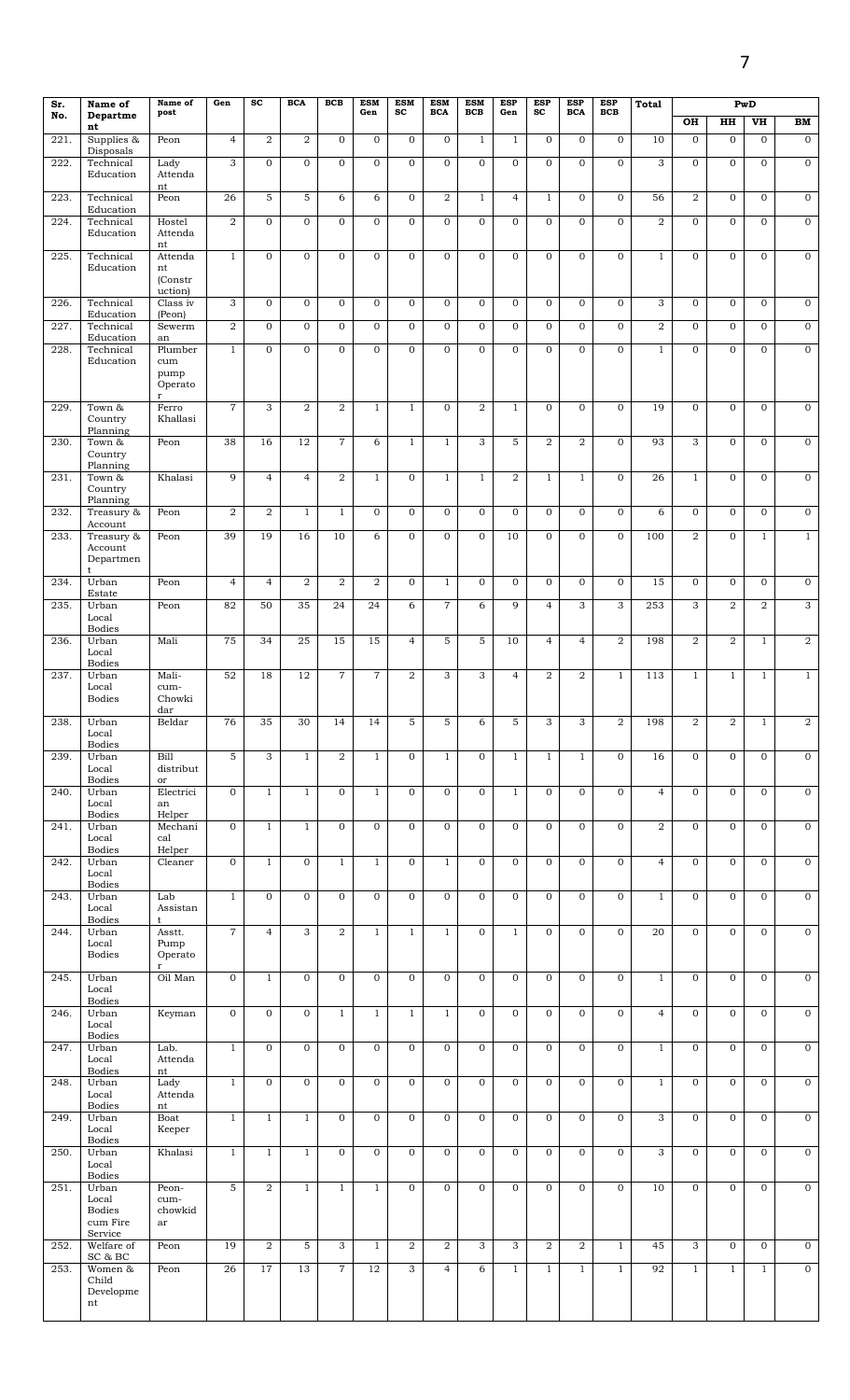| Sr.  | Name of<br>Departme                                          | Name of<br>post                | Gen            | <b>SC</b>      | <b>BCA</b>     | BCB            | <b>ESM</b><br>Gen | <b>ESM</b><br><b>SC</b> | <b>ESM</b><br><b>BCA</b> | <b>ESM</b><br><b>BCB</b> | <b>ESP</b><br>Gen | <b>ESP</b><br>sc | <b>ESP</b><br><b>BCA</b> | <b>ESP</b><br>BCB       | <b>Total</b>    |                         |                | PwD            |                  |
|------|--------------------------------------------------------------|--------------------------------|----------------|----------------|----------------|----------------|-------------------|-------------------------|--------------------------|--------------------------|-------------------|------------------|--------------------------|-------------------------|-----------------|-------------------------|----------------|----------------|------------------|
| No.  | nt                                                           |                                |                |                |                |                |                   |                         |                          |                          |                   |                  |                          |                         |                 | OH                      | HH             | V <sub>H</sub> | BM               |
| 221. | Supplies &<br>Disposals                                      | Peon                           | $\overline{4}$ | $\overline{2}$ | $\overline{2}$ | $\mathbf{O}$   | $\mathbf{O}$      | $\mathbf{0}$            | $\mathbf{0}$             | $\mathbf{1}$             | $\mathbf{1}$      | $\mathbf{0}$     | $\mathbf{0}$             | $\mathbf{O}$            | 10              | $\Omega$                | $\mathbf{O}$   | $\overline{0}$ | $\overline{0}$   |
| 222. | Technical<br>Education                                       | Lady<br>Attenda                | 3              | $\mathbf{O}$   | $\mathbf{0}$   | $\mathbf{O}$   | $\mathbf{0}$      | $\mathbf{0}$            | $\mathbf{0}$             | $\mathbf{0}$             | $\mathbf 0$       | $\mathbf{O}$     | $\mathbf{O}$             | 0                       | 3               | $\mathbf 0$             | $\mathbf{0}$   | $\mathbf 0$    | $\overline{0}$   |
| 223. | Technical<br>Education                                       | nt<br>Peon                     | 26             | $\overline{5}$ | $\overline{5}$ | 6              | 6                 | $\overline{0}$          | $\overline{2}$           | $\mathbf{1}$             | $\overline{4}$    | $\mathbf{1}$     | $\mathbf{0}$             | $\overline{0}$          | 56              | $\overline{a}$          | $\mathbf{0}$   | $\overline{0}$ | $\overline{0}$   |
| 224. | Technical<br>Education                                       | Hostel<br>Attenda              | $\overline{2}$ | $\mathbf{O}$   | $\mathbf{0}$   | $\mathbf{O}$   | $\mathbf{O}$      | $\mathbf{0}$            | $\mathbf{0}$             | $\mathbf{0}$             | $\mathbf{O}$      | $\mathbf{O}$     | $\mathbf{O}$             | $\overline{O}$          | $\overline{2}$  | $\mathbf{0}$            | $\mathbf{0}$   | $\mathbf{O}$   | $\overline{0}$   |
| 225. | Technical<br>Education                                       | nt<br>Attenda<br>nt            | $\mathbf{1}$   | $\overline{0}$ | $\Omega$       | $\mathbf{O}$   | $\overline{0}$    | $\overline{0}$          | $\mathbf{0}$             | $\mathbf{0}$             | $\overline{0}$    | $\mathbf{O}$     | $\overline{0}$           | $\overline{0}$          | $\mathbf{1}$    | $\mathbf{0}$            | $\mathbf{0}$   | $\overline{0}$ | $\mathbf 0$      |
| 226. | Technical                                                    | (Constr<br>uction)<br>Class iv | 3              | $\mathbf{0}$   | $\mathbf{0}$   | $\mathbf{O}$   | $\overline{O}$    | $\mathbf{0}$            | $\mathbf{0}$             | $\mathbf{0}$             | $\overline{0}$    | $\mathbf{O}$     | $\overline{0}$           | 0                       | 3               | $\overline{0}$          | $\mathbf{0}$   | $\mathbf{O}$   | $\mathbf{0}$     |
| 227. | Education<br>Technical                                       | (Peon)<br>Sewerm               | 2              | $\mathbf{0}$   | $\mathbf{0}$   | $\mathbf{O}$   | $\overline{0}$    | $\overline{0}$          | $\Omega$                 | $\mathbf{0}$             | $\overline{0}$    | $\mathbf{0}$     | $\mathbf{O}$             | $\overline{0}$          | $\overline{2}$  | $\Omega$                | $\mathbf{0}$   | $\mathbf{0}$   | $\mathbf 0$      |
| 228. | Education<br>Technical<br>Education                          | an<br>Plumber<br>cum           | $\mathbf{1}$   | $\overline{0}$ | $\Omega$       | $\Omega$       | $\mathbf{O}$      | $\overline{0}$          | $\Omega$                 | $\mathbf{0}$             | $\overline{0}$    | $\Omega$         | $\mathbf{O}$             | $\overline{0}$          | $\mathbf{1}$    | $\Omega$                | $\mathbf{0}$   | $\overline{0}$ | $\overline{0}$   |
|      |                                                              | pump<br>Operato<br>$\mathbf r$ |                |                |                |                |                   |                         |                          |                          |                   |                  |                          |                         |                 |                         |                |                |                  |
| 229. | Town &<br>Country<br>Planning                                | Ferro<br>Khallasi              | $\overline{7}$ | 3              | $\overline{2}$ | $\overline{2}$ | $\mathbf{1}$      | $\mathbf{1}$            | $\mathbf{0}$             | $\overline{2}$           | $\mathbf{1}$      | $\mathbf{0}$     | $\overline{0}$           | $\overline{0}$          | $\overline{19}$ | $\overline{0}$          | $\mathbf 0$    | $\overline{0}$ | $\mathbf 0$      |
| 230. | Town &<br>Country<br>Planning                                | Peon                           | 38             | 16             | 12             | $\overline{7}$ | 6                 | $\mathbf{1}$            | $\mathbf{1}$             | 3                        | 5                 | $\overline{a}$   | $\overline{2}$           | $\overline{0}$          | 93              | 3                       | $\mathbf{0}$   | $\mathbf{O}$   | $\overline{0}$   |
| 231. | Town &<br>Country<br>Planning                                | Khalasi                        | 9              | $\overline{4}$ | $\overline{4}$ | $\overline{2}$ | $\mathbf{1}$      | $\overline{0}$          | $\mathbf{1}$             | $\mathbf{1}$             | $\overline{2}$    | $\mathbf{1}$     | $\mathbf{1}$             | $\overline{0}$          | 26              | $\mathbf{1}$            | $\mathbf 0$    | $\mathbf{0}$   | $\mathbf 0$      |
| 232. | Treasury &<br>Account                                        | Peon                           | $\overline{a}$ | $\overline{a}$ | $\mathbf{1}$   | $\mathbf{1}$   | $\mathbf{0}$      | $\mathbf 0$             | $\mathbf{0}$             | $\mathbf 0$              | $\mathbf 0$       | $\mathbf 0$      | $\mathbf 0$              | $\mathbf 0$             | 6               | $\mathbf{0}$            | $\mathbf{0}$   | $\mathbf 0$    | $\mathbf 0$      |
| 233. | Treasury &<br>Account<br>Departmen                           | Peon                           | 39             | 19             | 16             | 10             | 6                 | $\overline{0}$          | $\mathbf{0}$             | $\Omega$                 | 10                | $\mathbf{O}$     | $\mathbf{0}$             | $\overline{0}$          | 100             | $\overline{2}$          | $\mathbf{0}$   | $\mathbf{1}$   | $\mathbf{1}$     |
| 234. | t<br>Urban<br>Estate                                         | Peon                           | $\overline{4}$ | $\overline{4}$ | $\overline{2}$ | $\overline{2}$ | $\overline{2}$    | $\overline{0}$          | $\mathbf{1}$             | $\overline{0}$           | $\overline{0}$    | $\mathbf{0}$     | $\mathbf{0}$             | $\overline{0}$          | 15              | $\overline{0}$          | $\mathbf{0}$   | $\overline{0}$ | $\mathbf 0$      |
| 235. | Urban<br>Local<br><b>Bodies</b>                              | Peon                           | 82             | 50             | 35             | 24             | 24                | $6\overline{6}$         | $\overline{7}$           | 6                        | $\overline{9}$    | $\overline{4}$   | $\overline{3}$           | 3                       | 253             | 3                       | $\overline{a}$ | $\overline{2}$ | $\overline{3}$   |
| 236. | Urban<br>Local<br><b>Bodies</b>                              | Mali                           | 75             | 34             | 25             | 15             | 15                | $\overline{4}$          | 5                        | 5                        | 10                | $\overline{4}$   | $\overline{4}$           | $\overline{a}$          | 198             | $\overline{2}$          | $\overline{2}$ | $\,1$          | $\overline{2}$   |
| 237. | Urban<br>Local<br><b>Bodies</b>                              | Mali-<br>cum-<br>Chowki        | 52             | 18             | 12             | $\overline{7}$ | $\overline{7}$    | $\overline{2}$          | 3                        | 3                        | $\overline{4}$    | $\overline{a}$   | $\overline{2}$           | $\mathbf{1}$            | 113             | $\mathbf{1}$            | $\mathbf{1}$   | $\mathbf{1}$   | $\mathbf{1}$     |
| 238. | Urban<br>Local<br><b>Bodies</b>                              | dar<br>Beldar                  | 76             | 35             | 30             | 14             | 14                | 5                       | 5                        | 6                        | 5                 | 3                | 3                        | $\overline{\mathbf{2}}$ | 198             | $\overline{\mathbf{2}}$ | $\overline{2}$ | $\mathbf{1}$   | $\overline{a}$   |
| 239. | Urban<br>Local<br><b>Bodies</b>                              | Bill<br>distribut<br>or        | 5              | $\overline{3}$ | $\mathbf{1}$   | $\overline{2}$ | $\mathbf{1}$      | $\mathbf{0}$            | $\mathbf{1}$             | $\mathbf{0}$             | $\mathbf{1}$      | $\mathbf{1}$     | $\mathbf{1}$             | $\overline{0}$          | 16              | $\overline{0}$          | $\mathbf{0}$   | $\mathbf{O}$   | $\boldsymbol{0}$ |
| 240. | Urban<br>Local<br><b>Bodies</b>                              | Electrici<br>an<br>Helper      | $\mathbf{0}$   | $\mathbf{1}$   | $\mathbf{1}$   | $\mathbf{O}$   | $\mathbf{1}$      | $\overline{0}$          | $\mathbf{0}$             | $\mathbf{0}$             | $\mathbf{1}$      | $\mathbf{0}$     | $\mathbf{0}$             | $\mathbf{O}$            | $\overline{4}$  | $\mathbf{0}$            | $\mathbf{0}$   | $\mathbf 0$    | $\mathbf 0$      |
| 241. | Urban<br>Local<br><b>Bodies</b>                              | Mechani<br>cal<br>Helper       | $\mathbf 0$    | $\mathbf{1}$   | $\mathbf{1}$   | $\mathbf{O}$   | $\overline{0}$    | $\mathbf{0}$            | $\mathbf{0}$             | $\mathbf{0}$             | $\mathbf{O}$      | $\mathbf{O}$     | $\overline{0}$           | $\overline{0}$          | $\overline{2}$  | $\overline{0}$          | $\mathbf{0}$   | $\overline{0}$ | $\boldsymbol{0}$ |
| 242. | Urban<br>Local<br><b>Bodies</b>                              | Cleaner                        | $\mathbf{0}$   | $\mathbf{1}$   | $\mathbf{O}$   | $\mathbf{1}$   | $\mathbf{1}$      | $\mathbf 0$             | $\mathbf{1}$             | $\mathbf{0}$             | $\mathbf 0$       | $\mathbf{O}$     | $\mathbf{O}$             | $\overline{0}$          | $\overline{4}$  | $\overline{0}$          | $\mathbf 0$    | $\mathbf 0$    | $\mathbf 0$      |
| 243. | Urban<br>Local                                               | Lab<br>Assistan                | $\mathbf{1}$   | $\mathbf{O}$   | $\mathbf{0}$   | $\mathbf{O}$   | $\mathbf{0}$      | $\mathbf{O}$            | $\mathbf{0}$             | $\mathbf{0}$             | $\mathbf{O}$      | $\mathbf{0}$     | $\mathbf{O}$             | $\mathbf{O}$            | $\mathbf{1}$    | $\mathbf{O}$            | $\mathbf{0}$   | $\mathbf{O}$   | $\mathbf 0$      |
| 244. | <b>Bodies</b><br>Urban<br>Local<br><b>Bodies</b>             | t<br>Asstt.<br>Pump<br>Operato | $\overline{7}$ | $\overline{4}$ | 3              | $\overline{a}$ | $\mathbf{1}$      | $\mathbf{1}$            | $\mathbf{1}$             | $\mathbf{O}$             | $\mathbf{1}$      | $\mathbf{0}$     | $\mathbf{O}$             | $\overline{0}$          | 20              | $\mathbf{0}$            | $\mathbf{0}$   | $\mathbf{O}$   | $\mathbf 0$      |
| 245. | Urban<br>Local                                               | $\mathbf{r}$<br>Oil Man        | $\mathbf{0}$   | $\mathbf{1}$   | $\mathbf{0}$   | $\mathbf{O}$   | $\mathbf{O}$      | $\mathbf 0$             | $\mathbf{0}$             | $\mathbf{0}$             | $\mathbf{O}$      | $\mathbf{0}$     | $\mathbf{O}$             | $\overline{0}$          | $\mathbf{1}$    | $\mathbf{0}$            | $\mathbf 0$    | $\mathbf 0$    | $\mathbf 0$      |
| 246. | <b>Bodies</b><br>Urban<br>Local                              | Keyman                         | $\mathbf{0}$   | $\mathbf{0}$   | $\mathbf{0}$   | $\mathbf{1}$   | $\mathbf{1}$      | $\mathbf{1}$            | $\mathbf{1}$             | $\mathbf{0}$             | $\mathbf{O}$      | $\mathbf{0}$     | $\mathbf{O}$             | $\mathbf{O}$            | $\overline{4}$  | $\mathbf{0}$            | $\mathbf 0$    | $\mathbf 0$    | $\mathbf 0$      |
| 247. | <b>Bodies</b><br>Urban<br>Local                              | Lab.<br>Attenda                | $\mathbf{1}$   | $\overline{0}$ | $\mathbf{0}$   | $\mathbf{O}$   | $\overline{0}$    | $\overline{0}$          | $\mathbf{0}$             | $\overline{0}$           | $\overline{0}$    | $\mathbf{0}$     | $\mathbf{0}$             | $\overline{0}$          | $\mathbf{1}$    | $\overline{0}$          | $\mathbf 0$    | $\mathbf 0$    | $\overline{0}$   |
| 248. | <b>Bodies</b><br>Urban<br>Local                              | nt<br>Lady<br>Attenda          | $\mathbf{1}$   | $\mathbf 0$    | $\mathbf{0}$   | $\mathbf 0$    | $\mathbf 0$       | $\mathbf{O}$            | $\mathbf{O}$             | $\boldsymbol{0}$         | $\mathbf{O}$      | $\mathbf 0$      | $\mathbf 0$              | $\mathbf 0$             | $1\,$           | $\mathbf{0}$            | $\mathbf 0$    | $\mathbf 0$    | $\mathbf 0$      |
| 249. | <b>Bodies</b><br>Urban<br>Local                              | nt<br>Boat<br>Keeper           | $\overline{1}$ | $\overline{1}$ | $\mathbf{1}$   | $\mathbf 0$    | $\mathbf 0$       | $\mathbf 0$             | $\mathbf 0$              | $\mathbf 0$              | $\mathbf 0$       | $\mathbf 0$      | $\mathbf 0$              | 0                       | $\overline{3}$  | $\mathbf{0}$            | $\mathbf 0$    | $\mathbf 0$    | $\mathbf 0$      |
| 250. | <b>Bodies</b><br>Urban<br>Local                              | Khalasi                        | $\mathbf{1}$   | $\mathbf{1}$   | $\mathbf{1}$   | $\mathbf 0$    | $\mathbf 0$       | $\mathbf 0$             | $\mathbf{0}$             | $\mathbf 0$              | $\mathbf 0$       | $\mathbf 0$      | $\mathbf 0$              | 0                       | 3               | $\mathbf{0}$            | $\mathbf 0$    | $\mathbf 0$    | $\mathbf 0$      |
| 251. | <b>Bodies</b><br>Urban<br>Local<br><b>Bodies</b><br>cum Fire | Peon-<br>cum-<br>chowkid<br>ar | 5              | $\overline{2}$ | $\mathbf{1}$   | $\mathbf{1}$   | $\mathbf{1}$      | $\mathbf 0$             | $\mathbf{0}$             | $\mathbf{0}$             | $\mathbf 0$       | $\mathbf{O}$     | $\mathbf 0$              | 0                       | 10              | $\mathbf{0}$            | $\mathbf{0}$   | $\mathbf 0$    | $\mathbf{0}$     |
| 252. | Service<br>Welfare of                                        | Peon                           | 19             | $\overline{2}$ | 5              | 3              | $\mathbf{1}$      | $\overline{a}$          | 2                        | 3                        | 3                 | $\overline{2}$   | $\overline{2}$           | $\mathbf{1}$            | 45              | 3                       | $\mathbf 0$    | $\mathbf 0$    | $\mathbf 0$      |
| 253. | SC & BC<br>Women &<br>Child<br>Developme<br>nt               | Peon                           | 26             | 17             | 13             | $\overline{7}$ | 12                | 3                       | $\overline{4}$           | 6                        | $\mathbf{1}$      | $\mathbf{1}$     | $\mathbf{1}$             | $\mathbf{1}$            | 92              | $\mathbf{1}$            | $\mathbf{1}$   | $\mathbf{1}$   | $\overline{0}$   |